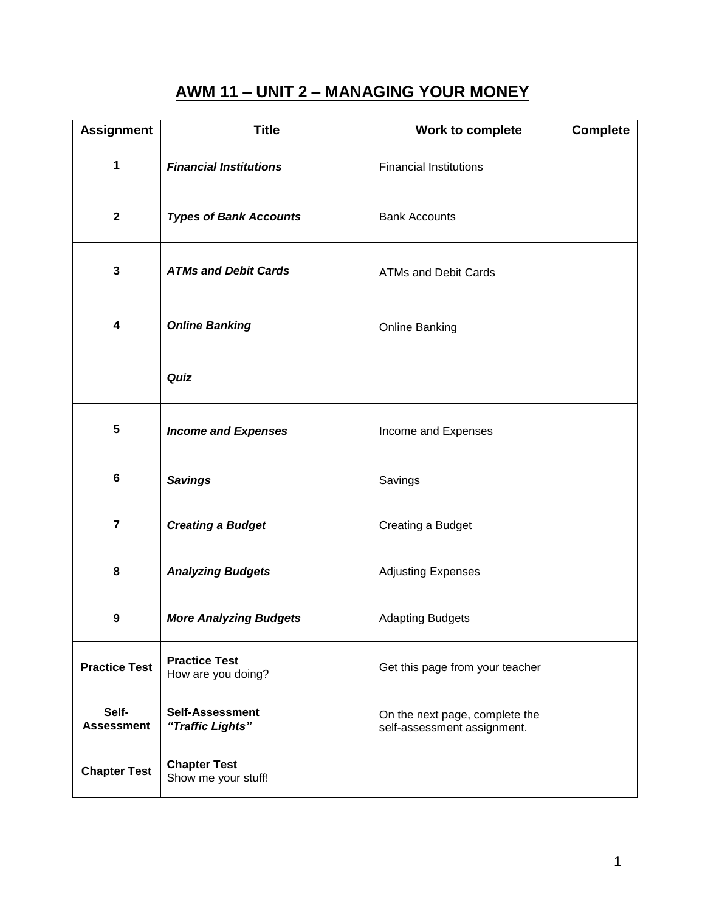# **AWM 11 – UNIT 2 – MANAGING YOUR MONEY**

| <b>Assignment</b>          | <b>Title</b>                               | Work to complete                                              | <b>Complete</b> |
|----------------------------|--------------------------------------------|---------------------------------------------------------------|-----------------|
| $\mathbf{1}$               | <b>Financial Institutions</b>              | <b>Financial Institutions</b>                                 |                 |
| $\mathbf{2}$               | <b>Types of Bank Accounts</b>              | <b>Bank Accounts</b>                                          |                 |
| 3                          | <b>ATMs and Debit Cards</b>                | <b>ATMs and Debit Cards</b>                                   |                 |
| 4                          | <b>Online Banking</b>                      | <b>Online Banking</b>                                         |                 |
|                            | Quiz                                       |                                                               |                 |
| 5                          | <b>Income and Expenses</b>                 | Income and Expenses                                           |                 |
| 6                          | <b>Savings</b>                             | Savings                                                       |                 |
| 7                          | <b>Creating a Budget</b>                   | Creating a Budget                                             |                 |
| 8                          | <b>Analyzing Budgets</b>                   | <b>Adjusting Expenses</b>                                     |                 |
| 9                          | <b>More Analyzing Budgets</b>              | <b>Adapting Budgets</b>                                       |                 |
| <b>Practice Test</b>       | <b>Practice Test</b><br>How are you doing? | Get this page from your teacher                               |                 |
| Self-<br><b>Assessment</b> | <b>Self-Assessment</b><br>"Traffic Lights" | On the next page, complete the<br>self-assessment assignment. |                 |
| <b>Chapter Test</b>        | <b>Chapter Test</b><br>Show me your stuff! |                                                               |                 |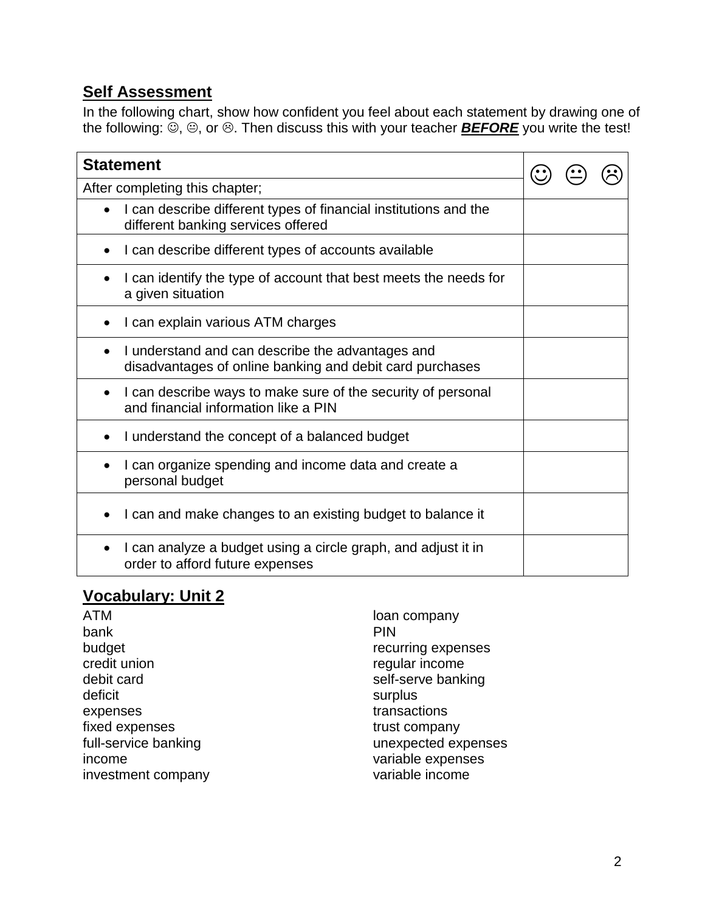#### **Self Assessment**

In the following chart, show how confident you feel about each statement by drawing one of the following:  $\ddot{\odot}$ ,  $\odot$ , or  $\odot$ . Then discuss this with your teacher **BEFORE** you write the test!

| <b>Statement</b>                                                                                             |  |  |  |
|--------------------------------------------------------------------------------------------------------------|--|--|--|
| After completing this chapter;                                                                               |  |  |  |
| I can describe different types of financial institutions and the<br>different banking services offered       |  |  |  |
| I can describe different types of accounts available                                                         |  |  |  |
| I can identify the type of account that best meets the needs for<br>a given situation                        |  |  |  |
| I can explain various ATM charges                                                                            |  |  |  |
| I understand and can describe the advantages and<br>disadvantages of online banking and debit card purchases |  |  |  |
| I can describe ways to make sure of the security of personal<br>and financial information like a PIN         |  |  |  |
| I understand the concept of a balanced budget                                                                |  |  |  |
| I can organize spending and income data and create a<br>personal budget                                      |  |  |  |
| I can and make changes to an existing budget to balance it                                                   |  |  |  |
| I can analyze a budget using a circle graph, and adjust it in<br>order to afford future expenses             |  |  |  |

## **Vocabulary: Unit 2**

ATM bank budget credit union debit card deficit expenses fixed expenses full-service banking income investment company loan company PIN recurring expenses regular income self-serve banking surplus transactions trust company unexpected expenses variable expenses variable income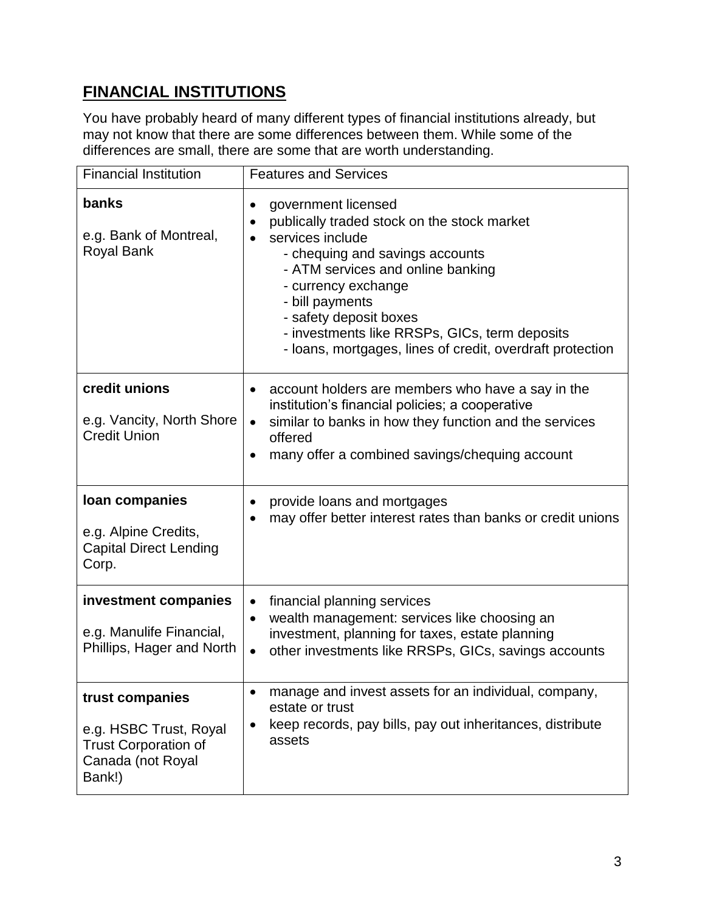# **FINANCIAL INSTITUTIONS**

You have probably heard of many different types of financial institutions already, but may not know that there are some differences between them. While some of the differences are small, there are some that are worth understanding.

| <b>Financial Institution</b>                                                                            | <b>Features and Services</b>                                                                                                                                                                                                                                                                                                                                               |
|---------------------------------------------------------------------------------------------------------|----------------------------------------------------------------------------------------------------------------------------------------------------------------------------------------------------------------------------------------------------------------------------------------------------------------------------------------------------------------------------|
| banks<br>e.g. Bank of Montreal,<br><b>Royal Bank</b>                                                    | government licensed<br>$\bullet$<br>publically traded stock on the stock market<br>$\bullet$<br>services include<br>- chequing and savings accounts<br>- ATM services and online banking<br>- currency exchange<br>- bill payments<br>- safety deposit boxes<br>- investments like RRSPs, GICs, term deposits<br>- loans, mortgages, lines of credit, overdraft protection |
| credit unions<br>e.g. Vancity, North Shore<br><b>Credit Union</b>                                       | account holders are members who have a say in the<br>٠<br>institution's financial policies; a cooperative<br>similar to banks in how they function and the services<br>$\bullet$<br>offered<br>many offer a combined savings/chequing account                                                                                                                              |
| loan companies<br>e.g. Alpine Credits,<br><b>Capital Direct Lending</b><br>Corp.                        | provide loans and mortgages<br>$\bullet$<br>may offer better interest rates than banks or credit unions                                                                                                                                                                                                                                                                    |
| investment companies<br>e.g. Manulife Financial,<br>Phillips, Hager and North                           | financial planning services<br>$\bullet$<br>wealth management: services like choosing an<br>$\bullet$<br>investment, planning for taxes, estate planning<br>other investments like RRSPs, GICs, savings accounts<br>$\bullet$                                                                                                                                              |
| trust companies<br>e.g. HSBC Trust, Royal<br><b>Trust Corporation of</b><br>Canada (not Royal<br>Bank!) | manage and invest assets for an individual, company,<br>$\bullet$<br>estate or trust<br>keep records, pay bills, pay out inheritances, distribute<br>assets                                                                                                                                                                                                                |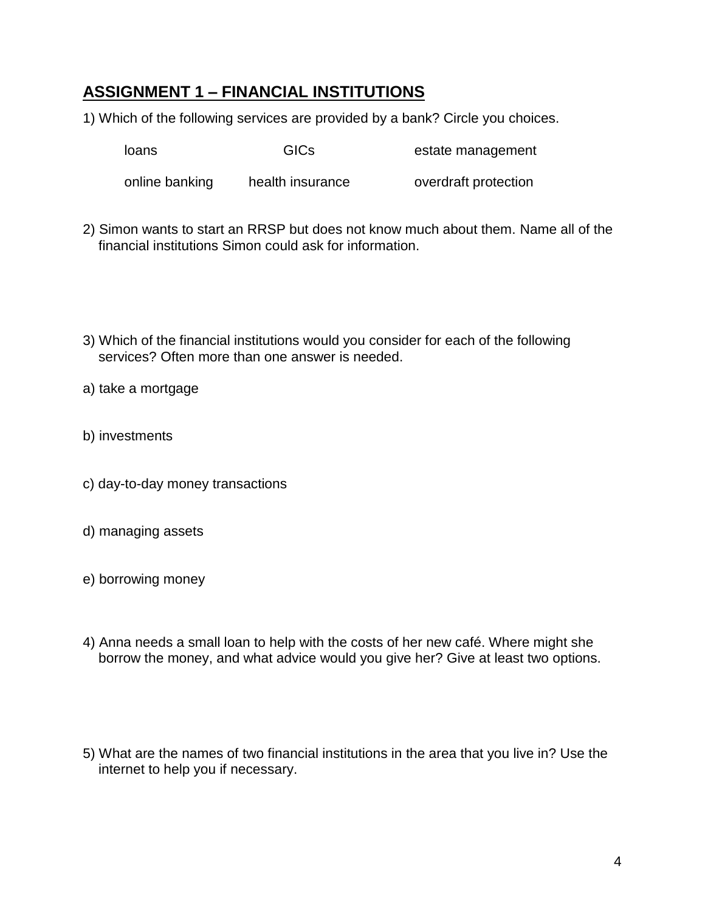## **ASSIGNMENT 1 – FINANCIAL INSTITUTIONS**

1) Which of the following services are provided by a bank? Circle you choices.

loans GICs estate management

online banking health insurance overdraft protection

- 2) Simon wants to start an RRSP but does not know much about them. Name all of the financial institutions Simon could ask for information.
- 3) Which of the financial institutions would you consider for each of the following services? Often more than one answer is needed.
- a) take a mortgage
- b) investments
- c) day-to-day money transactions
- d) managing assets
- e) borrowing money
- 4) Anna needs a small loan to help with the costs of her new café. Where might she borrow the money, and what advice would you give her? Give at least two options.
- 5) What are the names of two financial institutions in the area that you live in? Use the internet to help you if necessary.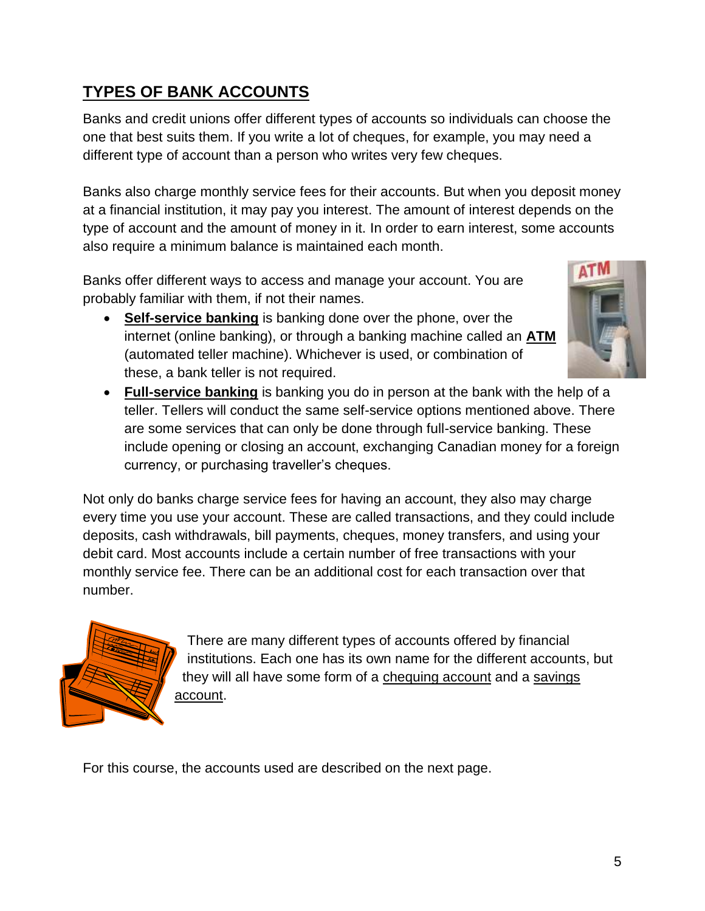# **TYPES OF BANK ACCOUNTS**

Banks and credit unions offer different types of accounts so individuals can choose the one that best suits them. If you write a lot of cheques, for example, you may need a different type of account than a person who writes very few cheques.

Banks also charge monthly service fees for their accounts. But when you deposit money at a financial institution, it may pay you interest. The amount of interest depends on the type of account and the amount of money in it. In order to earn interest, some accounts also require a minimum balance is maintained each month.

Banks offer different ways to access and manage your account. You are probably familiar with them, if not their names.

 **Self-service banking** is banking done over the phone, over the internet (online banking), or through a banking machine called an **ATM** (automated teller machine). Whichever is used, or combination of these, a bank teller is not required.



 **Full-service banking** is banking you do in person at the bank with the help of a teller. Tellers will conduct the same self-service options mentioned above. There are some services that can only be done through full-service banking. These include opening or closing an account, exchanging Canadian money for a foreign currency, or purchasing traveller's cheques.

Not only do banks charge service fees for having an account, they also may charge every time you use your account. These are called transactions, and they could include deposits, cash withdrawals, bill payments, cheques, money transfers, and using your debit card. Most accounts include a certain number of free transactions with your monthly service fee. There can be an additional cost for each transaction over that number.



There are many different types of accounts offered by financial institutions. Each one has its own name for the different accounts, but they will all have some form of a chequing account and a savings account.

For this course, the accounts used are described on the next page.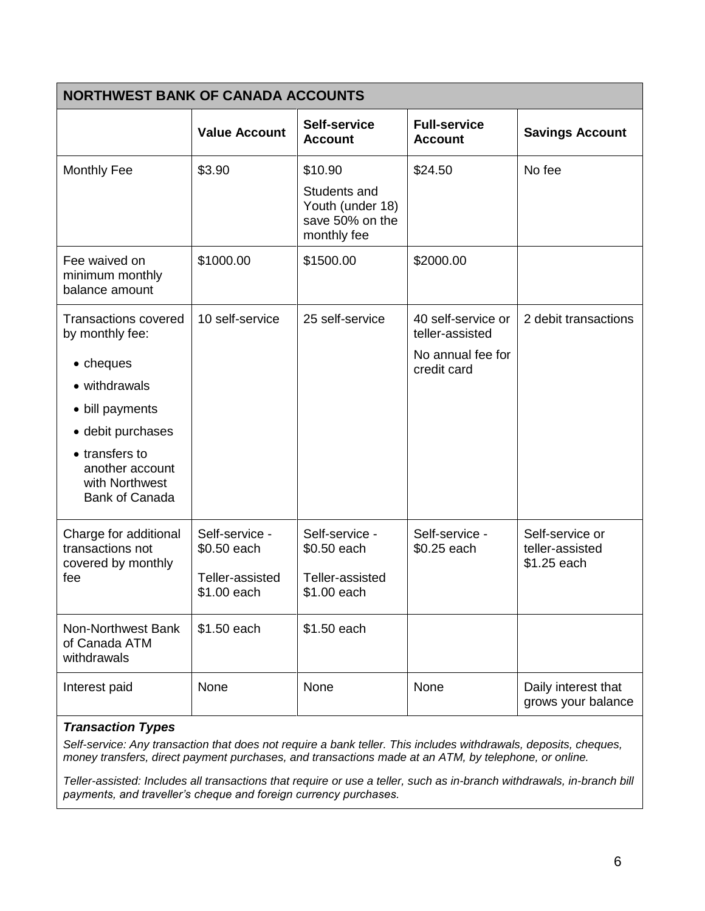| <b>NORTHWEST BANK OF CANADA ACCOUNTS</b>                                                                                                                                                             |                                                                 |                                                                               |                                                                           |                                                   |  |
|------------------------------------------------------------------------------------------------------------------------------------------------------------------------------------------------------|-----------------------------------------------------------------|-------------------------------------------------------------------------------|---------------------------------------------------------------------------|---------------------------------------------------|--|
|                                                                                                                                                                                                      | <b>Value Account</b>                                            | Self-service<br><b>Account</b>                                                | <b>Full-service</b><br><b>Account</b>                                     | <b>Savings Account</b>                            |  |
| <b>Monthly Fee</b>                                                                                                                                                                                   | \$3.90                                                          | \$10.90<br>Students and<br>Youth (under 18)<br>save 50% on the<br>monthly fee | \$24.50                                                                   | No fee                                            |  |
| Fee waived on<br>minimum monthly<br>balance amount                                                                                                                                                   | \$1000.00                                                       | \$1500.00                                                                     | \$2000.00                                                                 |                                                   |  |
| <b>Transactions covered</b><br>by monthly fee:<br>• cheques<br>• withdrawals<br>• bill payments<br>• debit purchases<br>• transfers to<br>another account<br>with Northwest<br><b>Bank of Canada</b> | 10 self-service                                                 | 25 self-service                                                               | 40 self-service or<br>teller-assisted<br>No annual fee for<br>credit card | 2 debit transactions                              |  |
| Charge for additional<br>transactions not<br>covered by monthly<br>fee                                                                                                                               | Self-service -<br>\$0.50 each<br>Teller-assisted<br>\$1.00 each | Self-service -<br>\$0.50 each<br>Teller-assisted<br>\$1.00 each               | Self-service -<br>\$0.25 each                                             | Self-service or<br>teller-assisted<br>\$1.25 each |  |
| Non-Northwest Bank<br>of Canada ATM<br>withdrawals                                                                                                                                                   | \$1.50 each                                                     | \$1.50 each                                                                   |                                                                           |                                                   |  |
| Interest paid                                                                                                                                                                                        | <b>None</b>                                                     | None                                                                          | None                                                                      | Daily interest that<br>grows your balance         |  |

#### *Transaction Types*

*Self-service: Any transaction that does not require a bank teller. This includes withdrawals, deposits, cheques, money transfers, direct payment purchases, and transactions made at an ATM, by telephone, or online.*

*Teller-assisted: Includes all transactions that require or use a teller, such as in-branch withdrawals, in-branch bill payments, and traveller's cheque and foreign currency purchases.*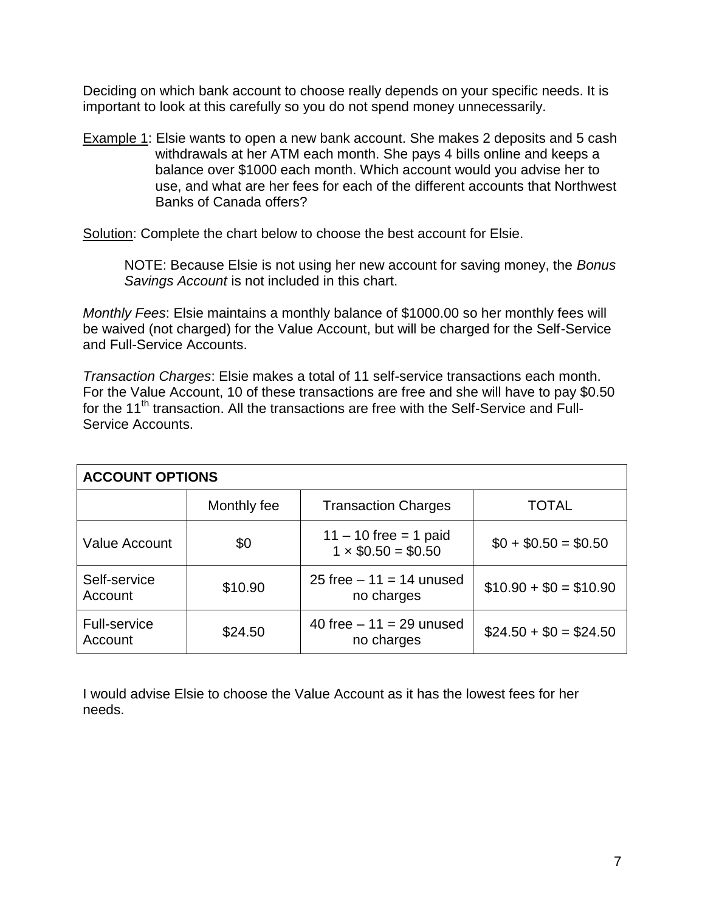Deciding on which bank account to choose really depends on your specific needs. It is important to look at this carefully so you do not spend money unnecessarily.

Example 1: Elsie wants to open a new bank account. She makes 2 deposits and 5 cash withdrawals at her ATM each month. She pays 4 bills online and keeps a balance over \$1000 each month. Which account would you advise her to use, and what are her fees for each of the different accounts that Northwest Banks of Canada offers?

Solution: Complete the chart below to choose the best account for Elsie.

NOTE: Because Elsie is not using her new account for saving money, the *Bonus Savings Account* is not included in this chart.

*Monthly Fees*: Elsie maintains a monthly balance of \$1000.00 so her monthly fees will be waived (not charged) for the Value Account, but will be charged for the Self-Service and Full-Service Accounts.

*Transaction Charges*: Elsie makes a total of 11 self-service transactions each month. For the Value Account, 10 of these transactions are free and she will have to pay \$0.50 for the 11<sup>th</sup> transaction. All the transactions are free with the Self-Service and Full-Service Accounts.

| <b>ACCOUNT OPTIONS</b>         |             |                                                     |                        |  |  |  |
|--------------------------------|-------------|-----------------------------------------------------|------------------------|--|--|--|
|                                | Monthly fee | <b>Transaction Charges</b>                          | TOTAL                  |  |  |  |
| <b>Value Account</b>           | \$0         | $11 - 10$ free = 1 paid<br>$1 \times $0.50 = $0.50$ | $$0 + $0.50 = $0.50$   |  |  |  |
| Self-service<br>Account        | \$10.90     | 25 free $-11 = 14$ unused<br>no charges             | $$10.90 + $0 = $10.90$ |  |  |  |
| <b>Full-service</b><br>Account | \$24.50     | 40 free $-11 = 29$ unused<br>no charges             | $$24.50 + $0 = $24.50$ |  |  |  |

I would advise Elsie to choose the Value Account as it has the lowest fees for her needs.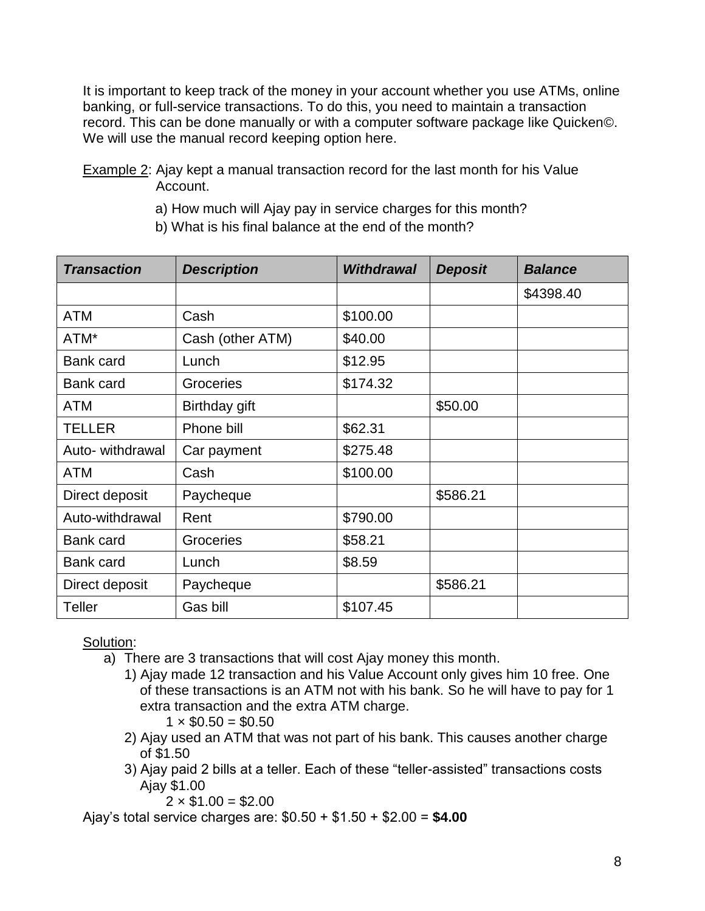It is important to keep track of the money in your account whether you use ATMs, online banking, or full-service transactions. To do this, you need to maintain a transaction record. This can be done manually or with a computer software package like Quicken©. We will use the manual record keeping option here.

Example 2: Ajay kept a manual transaction record for the last month for his Value Account.

a) How much will Ajay pay in service charges for this month?

| <b>Transaction</b> | <b>Description</b> | <b>Withdrawal</b> | <b>Deposit</b> | <b>Balance</b> |
|--------------------|--------------------|-------------------|----------------|----------------|
|                    |                    |                   |                | \$4398.40      |
| <b>ATM</b>         | Cash               | \$100.00          |                |                |
| ATM*               | Cash (other ATM)   | \$40.00           |                |                |
| <b>Bank card</b>   | Lunch              | \$12.95           |                |                |
| <b>Bank card</b>   | Groceries          | \$174.32          |                |                |
| ATM                | Birthday gift      |                   | \$50.00        |                |
| <b>TELLER</b>      | Phone bill         | \$62.31           |                |                |
| Auto- withdrawal   | Car payment        | \$275.48          |                |                |
| <b>ATM</b>         | Cash               | \$100.00          |                |                |
| Direct deposit     | Paycheque          |                   | \$586.21       |                |
| Auto-withdrawal    | Rent               | \$790.00          |                |                |
| <b>Bank card</b>   | Groceries          | \$58.21           |                |                |
| <b>Bank card</b>   | Lunch              | \$8.59            |                |                |
| Direct deposit     | Paycheque          |                   | \$586.21       |                |
| <b>Teller</b>      | Gas bill           | \$107.45          |                |                |

Solution:

- a) There are 3 transactions that will cost Ajay money this month.
	- 1) Ajay made 12 transaction and his Value Account only gives him 10 free. One of these transactions is an ATM not with his bank. So he will have to pay for 1 extra transaction and the extra ATM charge.

 $1 \times $0.50 = $0.50$ 

- 2) Ajay used an ATM that was not part of his bank. This causes another charge of \$1.50
- 3) Ajay paid 2 bills at a teller. Each of these "teller-assisted" transactions costs Ajay \$1.00

 $2 \times \$1.00 = \$2.00$ 

Ajay's total service charges are: \$0.50 + \$1.50 + \$2.00 = **\$4.00**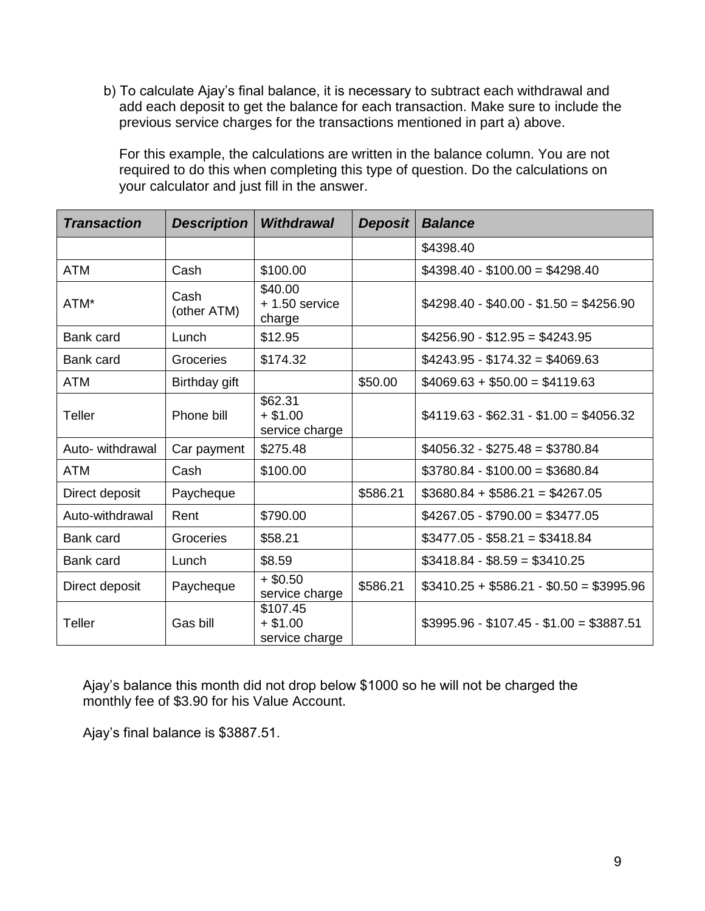b) To calculate Ajay's final balance, it is necessary to subtract each withdrawal and add each deposit to get the balance for each transaction. Make sure to include the previous service charges for the transactions mentioned in part a) above.

For this example, the calculations are written in the balance column. You are not required to do this when completing this type of question. Do the calculations on your calculator and just fill in the answer.

| <b>Transaction</b> | <b>Description</b>  | <b>Withdrawal</b>                       | <b>Deposit</b> | <b>Balance</b>                          |
|--------------------|---------------------|-----------------------------------------|----------------|-----------------------------------------|
|                    |                     |                                         |                | \$4398.40                               |
| <b>ATM</b>         | Cash                | \$100.00                                |                | $$4398.40 - $100.00 = $4298.40$         |
| ATM*               | Cash<br>(other ATM) | \$40.00<br>$+1.50$ service<br>charge    |                | $$4298.40 - $40.00 - $1.50 = $4256.90$  |
| <b>Bank card</b>   | Lunch               | \$12.95                                 |                | $$4256.90 - $12.95 = $4243.95$          |
| Bank card          | Groceries           | \$174.32                                |                | $$4243.95 - $174.32 = $4069.63$         |
| <b>ATM</b>         | Birthday gift       |                                         | \$50.00        | $$4069.63 + $50.00 = $4119.63$          |
| Teller             | Phone bill          | \$62.31<br>$+ $1.00$<br>service charge  |                | $$4119.63 - $62.31 - $1.00 = $4056.32$  |
| Auto- withdrawal   | Car payment         | \$275.48                                |                | $$4056.32 - $275.48 = $3780.84$         |
| <b>ATM</b>         | Cash                | \$100.00                                |                | $$3780.84 - $100.00 = $3680.84$         |
| Direct deposit     | Paycheque           |                                         | \$586.21       | $$3680.84 + $586.21 = $4267.05$         |
| Auto-withdrawal    | Rent                | \$790.00                                |                | $$4267.05 - $790.00 = $3477.05$         |
| Bank card          | Groceries           | \$58.21                                 |                | $$3477.05 - $58.21 = $3418.84$          |
| Bank card          | Lunch               | \$8.59                                  |                | $$3418.84 - $8.59 = $3410.25$           |
| Direct deposit     | Paycheque           | $+$ \$0.50<br>service charge            | \$586.21       | $$3410.25 + $586.21 - $0.50 = $3995.96$ |
| Teller             | Gas bill            | \$107.45<br>$+ $1.00$<br>service charge |                | $$3995.96 - $107.45 - $1.00 = $3887.51$ |

Ajay's balance this month did not drop below \$1000 so he will not be charged the monthly fee of \$3.90 for his Value Account.

Ajay's final balance is \$3887.51.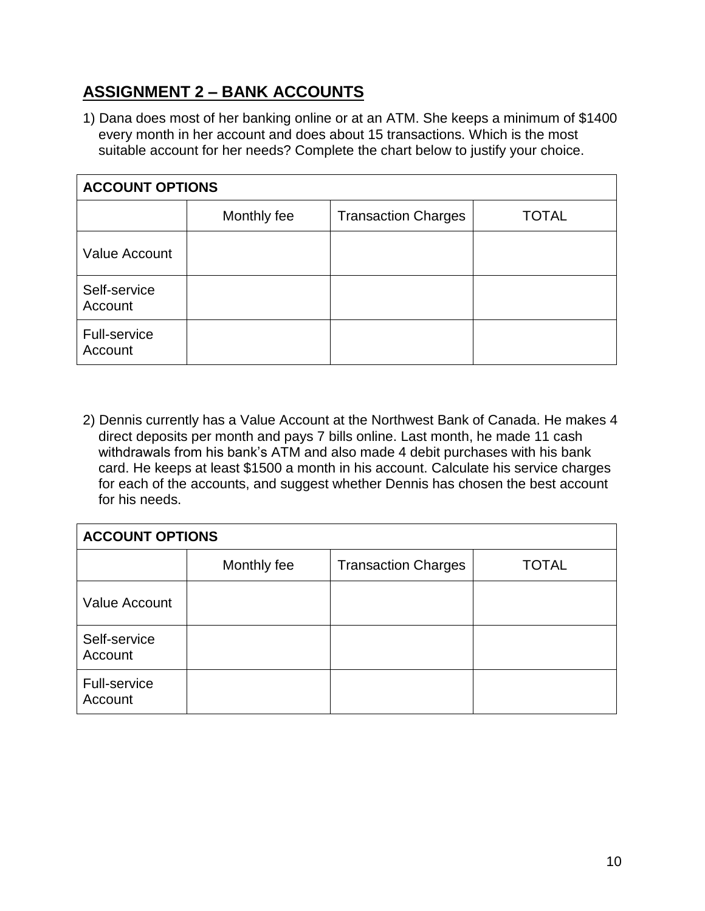## **ASSIGNMENT 2 – BANK ACCOUNTS**

1) Dana does most of her banking online or at an ATM. She keeps a minimum of \$1400 every month in her account and does about 15 transactions. Which is the most suitable account for her needs? Complete the chart below to justify your choice.

| <b>ACCOUNT OPTIONS</b>  |             |                            |              |  |  |
|-------------------------|-------------|----------------------------|--------------|--|--|
|                         | Monthly fee | <b>Transaction Charges</b> | <b>TOTAL</b> |  |  |
| <b>Value Account</b>    |             |                            |              |  |  |
| Self-service<br>Account |             |                            |              |  |  |
| Full-service<br>Account |             |                            |              |  |  |

2) Dennis currently has a Value Account at the Northwest Bank of Canada. He makes 4 direct deposits per month and pays 7 bills online. Last month, he made 11 cash withdrawals from his bank's ATM and also made 4 debit purchases with his bank card. He keeps at least \$1500 a month in his account. Calculate his service charges for each of the accounts, and suggest whether Dennis has chosen the best account for his needs.

| <b>ACCOUNT OPTIONS</b>         |             |                            |              |  |  |
|--------------------------------|-------------|----------------------------|--------------|--|--|
|                                | Monthly fee | <b>Transaction Charges</b> | <b>TOTAL</b> |  |  |
| Value Account                  |             |                            |              |  |  |
| Self-service<br>Account        |             |                            |              |  |  |
| <b>Full-service</b><br>Account |             |                            |              |  |  |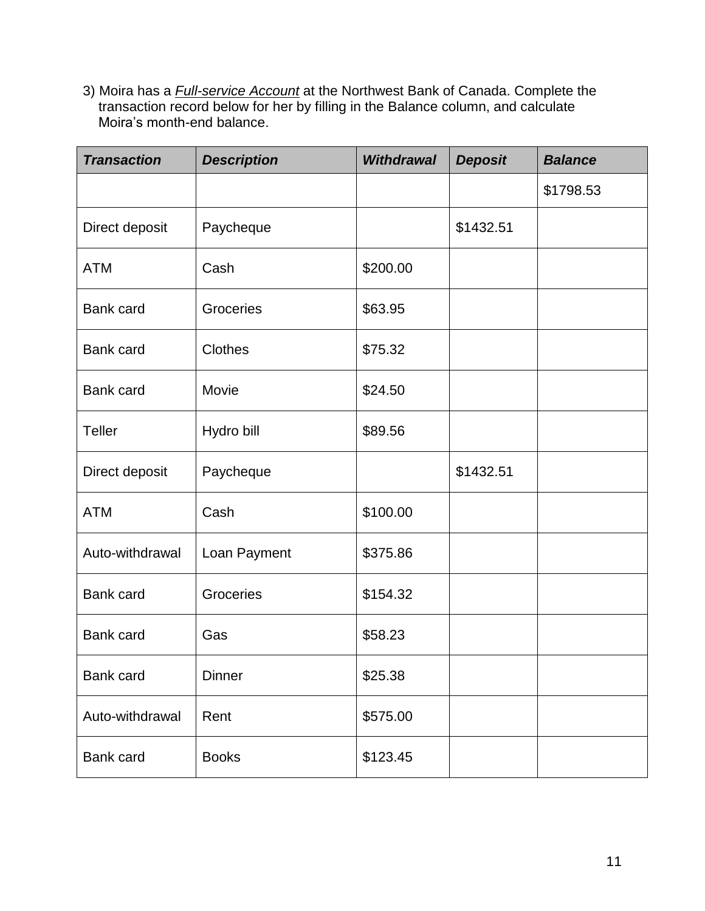3) Moira has a *Full-service Account* at the Northwest Bank of Canada. Complete the transaction record below for her by filling in the Balance column, and calculate Moira's month-end balance.

| <b>Transaction</b> | <b>Description</b> | <b>Withdrawal</b> | <b>Deposit</b> | <b>Balance</b> |
|--------------------|--------------------|-------------------|----------------|----------------|
|                    |                    |                   |                | \$1798.53      |
| Direct deposit     | Paycheque          |                   | \$1432.51      |                |
| <b>ATM</b>         | Cash               | \$200.00          |                |                |
| Bank card          | Groceries          | \$63.95           |                |                |
| Bank card          | <b>Clothes</b>     | \$75.32           |                |                |
| Bank card          | Movie              | \$24.50           |                |                |
| Teller             | Hydro bill         | \$89.56           |                |                |
| Direct deposit     | Paycheque          |                   | \$1432.51      |                |
| <b>ATM</b>         | Cash               | \$100.00          |                |                |
| Auto-withdrawal    | Loan Payment       | \$375.86          |                |                |
| <b>Bank card</b>   | Groceries          | \$154.32          |                |                |
| Bank card          | Gas                | \$58.23           |                |                |
| Bank card          | <b>Dinner</b>      | \$25.38           |                |                |
| Auto-withdrawal    | Rent               | \$575.00          |                |                |
| Bank card          | <b>Books</b>       | \$123.45          |                |                |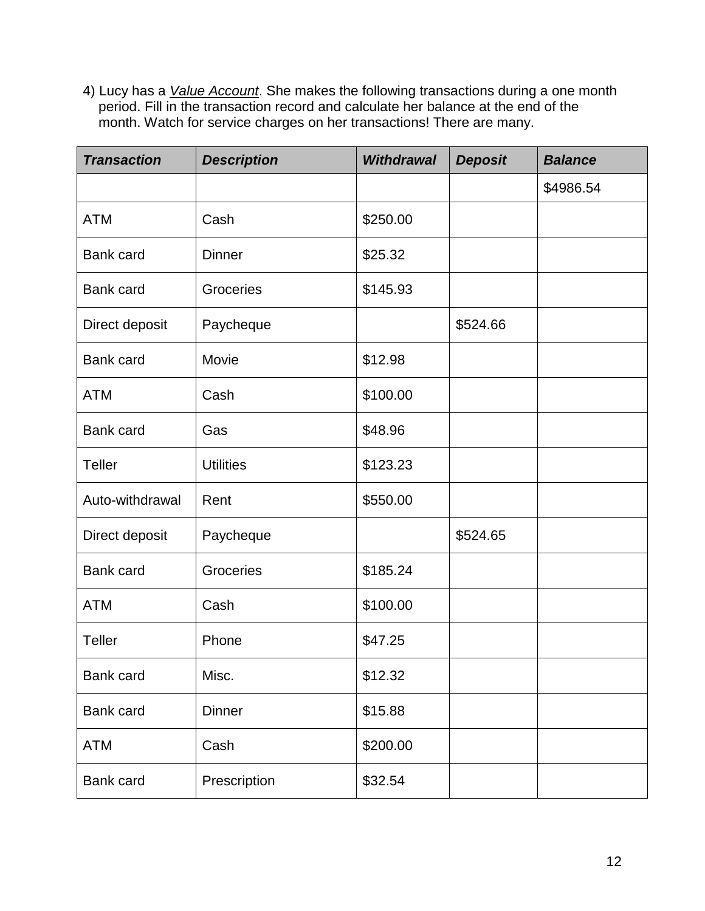4) Lucy has a *Value Account*. She makes the following transactions during a one month period. Fill in the transaction record and calculate her balance at the end of the month. Watch for service charges on her transactions! There are many.

| <b>Transaction</b> | <b>Description</b> | <b>Withdrawal</b> | <b>Deposit</b> | <b>Balance</b> |
|--------------------|--------------------|-------------------|----------------|----------------|
|                    |                    |                   |                | \$4986.54      |
| <b>ATM</b>         | Cash               | \$250.00          |                |                |
| Bank card          | <b>Dinner</b>      | \$25.32           |                |                |
| <b>Bank card</b>   | Groceries          | \$145.93          |                |                |
| Direct deposit     | Paycheque          |                   | \$524.66       |                |
| Bank card          | Movie              | \$12.98           |                |                |
| <b>ATM</b>         | Cash               | \$100.00          |                |                |
| Bank card          | Gas                | \$48.96           |                |                |
| <b>Teller</b>      | <b>Utilities</b>   | \$123.23          |                |                |
| Auto-withdrawal    | Rent               | \$550.00          |                |                |
| Direct deposit     | Paycheque          |                   | \$524.65       |                |
| Bank card          | Groceries          | \$185.24          |                |                |
| <b>ATM</b>         | Cash               | \$100.00          |                |                |
| <b>Teller</b>      | Phone              | \$47.25           |                |                |
| <b>Bank card</b>   | Misc.              | \$12.32           |                |                |
| Bank card          | <b>Dinner</b>      | \$15.88           |                |                |
| <b>ATM</b>         | Cash               | \$200.00          |                |                |
| Bank card          | Prescription       | \$32.54           |                |                |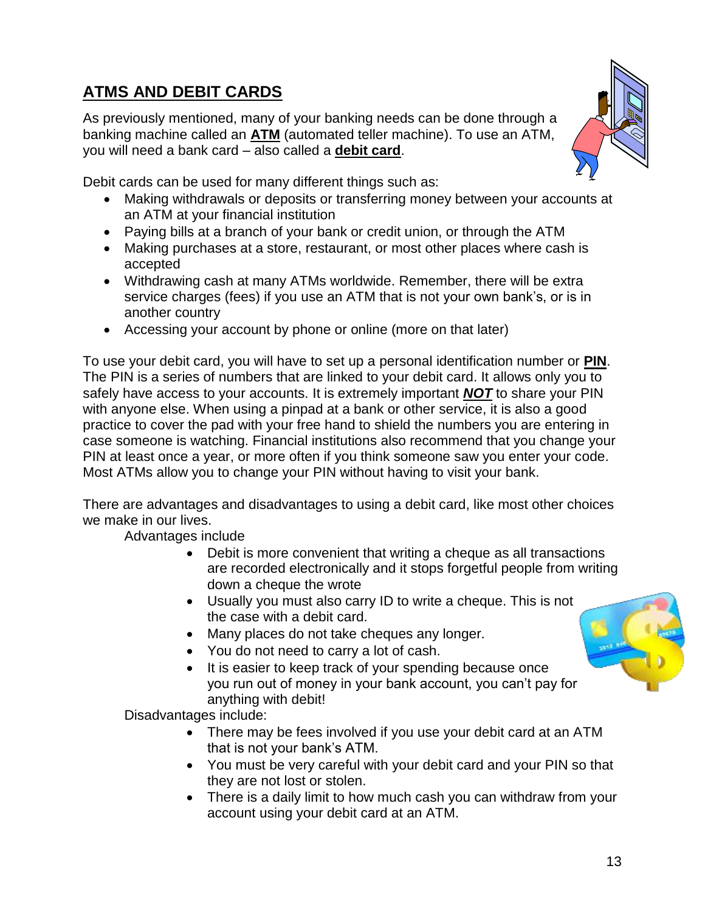# **ATMS AND DEBIT CARDS**

As previously mentioned, many of your banking needs can be done through a banking machine called an **ATM** (automated teller machine). To use an ATM, you will need a bank card – also called a **debit card**.



Debit cards can be used for many different things such as:

- Making withdrawals or deposits or transferring money between your accounts at an ATM at your financial institution
- Paying bills at a branch of your bank or credit union, or through the ATM
- Making purchases at a store, restaurant, or most other places where cash is accepted
- Withdrawing cash at many ATMs worldwide. Remember, there will be extra service charges (fees) if you use an ATM that is not your own bank's, or is in another country
- Accessing your account by phone or online (more on that later)

To use your debit card, you will have to set up a personal identification number or **PIN**. The PIN is a series of numbers that are linked to your debit card. It allows only you to safely have access to your accounts. It is extremely important *NOT* to share your PIN with anyone else. When using a pinpad at a bank or other service, it is also a good practice to cover the pad with your free hand to shield the numbers you are entering in case someone is watching. Financial institutions also recommend that you change your PIN at least once a year, or more often if you think someone saw you enter your code. Most ATMs allow you to change your PIN without having to visit your bank.

There are advantages and disadvantages to using a debit card, like most other choices we make in our lives.

Advantages include

- Debit is more convenient that writing a cheque as all transactions are recorded electronically and it stops forgetful people from writing down a cheque the wrote
- Usually you must also carry ID to write a cheque. This is not the case with a debit card.
- Many places do not take cheques any longer.
- You do not need to carry a lot of cash.
- It is easier to keep track of your spending because once you run out of money in your bank account, you can't pay for anything with debit!

Disadvantages include:

- There may be fees involved if you use your debit card at an ATM that is not your bank's ATM.
- You must be very careful with your debit card and your PIN so that they are not lost or stolen.
- There is a daily limit to how much cash you can withdraw from your account using your debit card at an ATM.

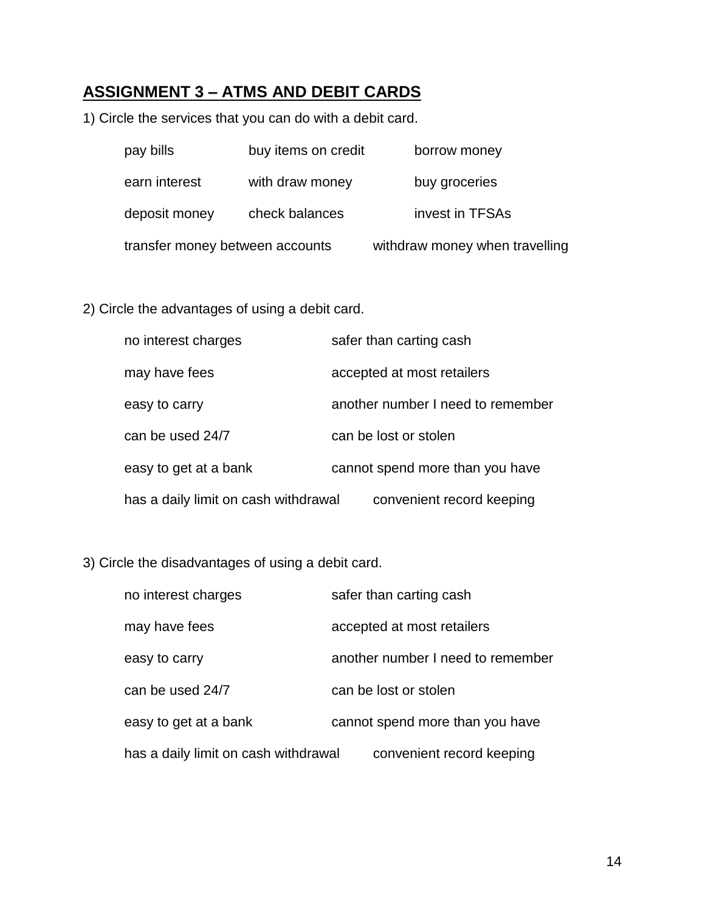# **ASSIGNMENT 3 – ATMS AND DEBIT CARDS**

1) Circle the services that you can do with a debit card.

| pay bills                       | buy items on credit | borrow money                   |
|---------------------------------|---------------------|--------------------------------|
| earn interest                   | with draw money     | buy groceries                  |
| deposit money                   | check balances      | invest in TFSAs                |
| transfer money between accounts |                     | withdraw money when travelling |

#### 2) Circle the advantages of using a debit card.

| no interest charges                  | safer than carting cash           |
|--------------------------------------|-----------------------------------|
| may have fees                        | accepted at most retailers        |
| easy to carry                        | another number I need to remember |
| can be used 24/7                     | can be lost or stolen             |
| easy to get at a bank                | cannot spend more than you have   |
| has a daily limit on cash withdrawal | convenient record keeping         |

#### 3) Circle the disadvantages of using a debit card.

| no interest charges                  | safer than carting cash           |
|--------------------------------------|-----------------------------------|
| may have fees                        | accepted at most retailers        |
| easy to carry                        | another number I need to remember |
| can be used 24/7                     | can be lost or stolen             |
| easy to get at a bank                | cannot spend more than you have   |
| has a daily limit on cash withdrawal | convenient record keeping         |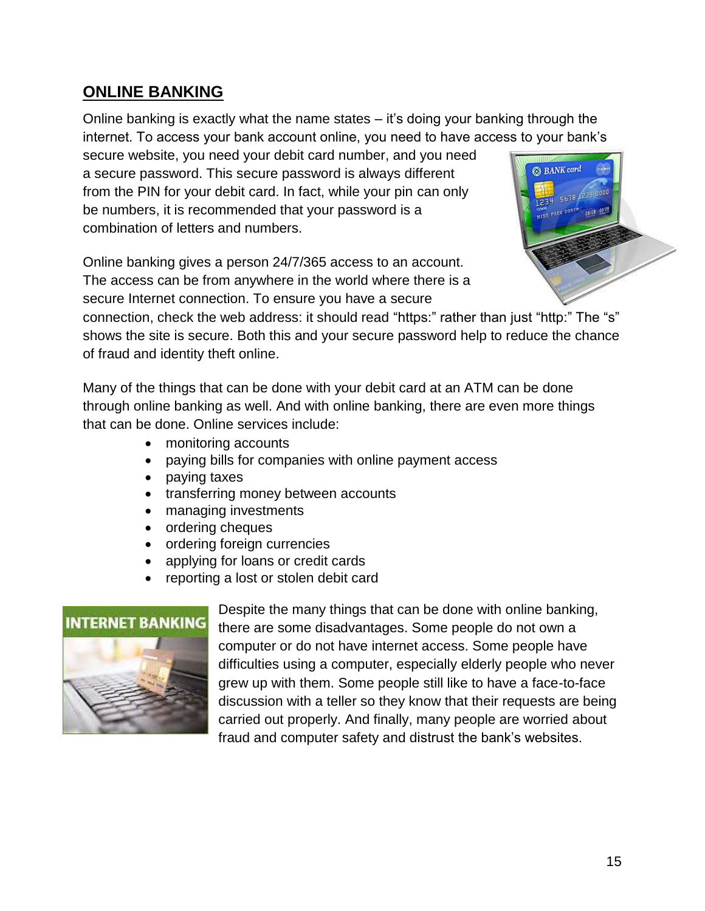### **ONLINE BANKING**

Online banking is exactly what the name states – it's doing your banking through the internet. To access your bank account online, you need to have access to your bank's

secure website, you need your debit card number, and you need a secure password. This secure password is always different from the PIN for your debit card. In fact, while your pin can only be numbers, it is recommended that your password is a combination of letters and numbers.

Online banking gives a person 24/7/365 access to an account. The access can be from anywhere in the world where there is a secure Internet connection. To ensure you have a secure



connection, check the web address: it should read "https:" rather than just "http:" The "s" shows the site is secure. Both this and your secure password help to reduce the chance of fraud and identity theft online.

Many of the things that can be done with your debit card at an ATM can be done through online banking as well. And with online banking, there are even more things that can be done. Online services include:

- monitoring accounts
- paying bills for companies with online payment access
- paying taxes
- transferring money between accounts
- managing investments
- ordering cheques
- ordering foreign currencies
- applying for loans or credit cards
- reporting a lost or stolen debit card



Despite the many things that can be done with online banking, there are some disadvantages. Some people do not own a computer or do not have internet access. Some people have difficulties using a computer, especially elderly people who never grew up with them. Some people still like to have a face-to-face discussion with a teller so they know that their requests are being carried out properly. And finally, many people are worried about fraud and computer safety and distrust the bank's websites.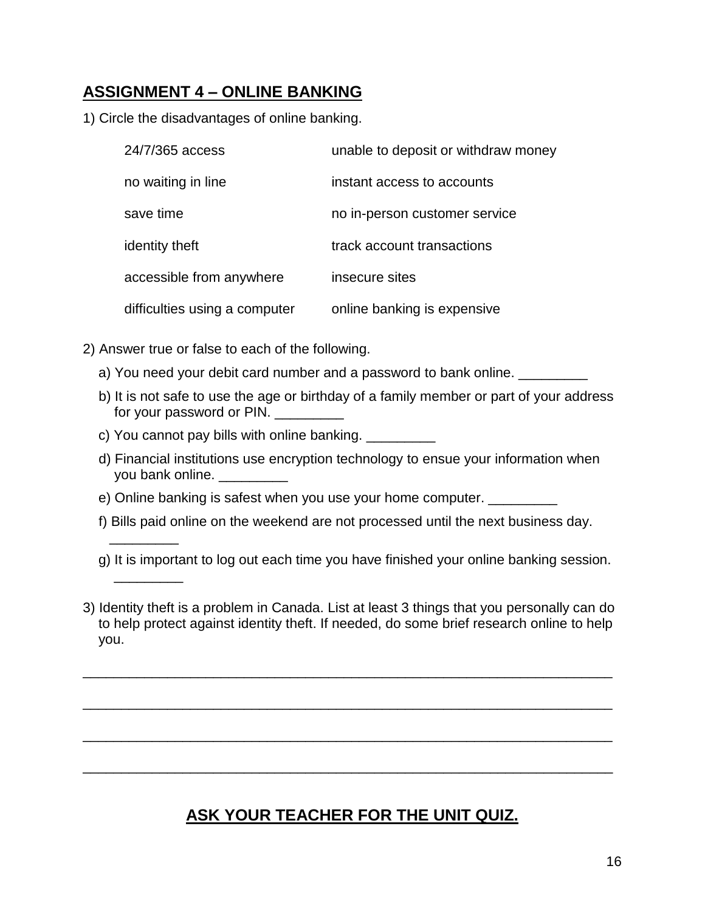## **ASSIGNMENT 4 – ONLINE BANKING**

1) Circle the disadvantages of online banking.

| 24/7/365 access               | unable to deposit or withdraw money |
|-------------------------------|-------------------------------------|
| no waiting in line            | instant access to accounts          |
| save time                     | no in-person customer service       |
| identity theft                | track account transactions          |
| accessible from anywhere      | insecure sites                      |
| difficulties using a computer | online banking is expensive         |

2) Answer true or false to each of the following.

\_\_\_\_\_\_\_\_\_

 $\overline{\phantom{a}}$ 

- a) You need your debit card number and a password to bank online.
- b) It is not safe to use the age or birthday of a family member or part of your address for your password or PIN.
- c) You cannot pay bills with online banking. \_\_\_\_\_\_\_\_\_
- d) Financial institutions use encryption technology to ensue your information when you bank online.
- e) Online banking is safest when you use your home computer.
- f) Bills paid online on the weekend are not processed until the next business day.
- g) It is important to log out each time you have finished your online banking session.
- 3) Identity theft is a problem in Canada. List at least 3 things that you personally can do to help protect against identity theft. If needed, do some brief research online to help you.

\_\_\_\_\_\_\_\_\_\_\_\_\_\_\_\_\_\_\_\_\_\_\_\_\_\_\_\_\_\_\_\_\_\_\_\_\_\_\_\_\_\_\_\_\_\_\_\_\_\_\_\_\_\_\_\_\_\_\_\_\_\_\_\_\_\_\_\_\_

\_\_\_\_\_\_\_\_\_\_\_\_\_\_\_\_\_\_\_\_\_\_\_\_\_\_\_\_\_\_\_\_\_\_\_\_\_\_\_\_\_\_\_\_\_\_\_\_\_\_\_\_\_\_\_\_\_\_\_\_\_\_\_\_\_\_\_\_\_

\_\_\_\_\_\_\_\_\_\_\_\_\_\_\_\_\_\_\_\_\_\_\_\_\_\_\_\_\_\_\_\_\_\_\_\_\_\_\_\_\_\_\_\_\_\_\_\_\_\_\_\_\_\_\_\_\_\_\_\_\_\_\_\_\_\_\_\_\_

\_\_\_\_\_\_\_\_\_\_\_\_\_\_\_\_\_\_\_\_\_\_\_\_\_\_\_\_\_\_\_\_\_\_\_\_\_\_\_\_\_\_\_\_\_\_\_\_\_\_\_\_\_\_\_\_\_\_\_\_\_\_\_\_\_\_\_\_\_

## **ASK YOUR TEACHER FOR THE UNIT QUIZ.**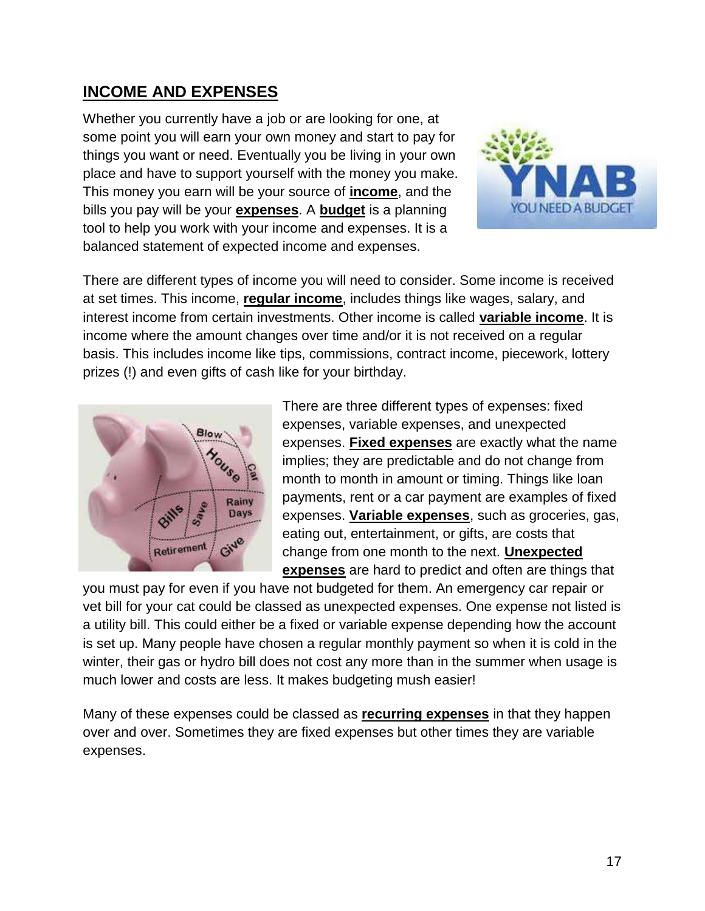## **INCOME AND EXPENSES**

Whether you currently have a job or are looking for one, at some point you will earn your own money and start to pay for things you want or need. Eventually you be living in your own place and have to support yourself with the money you make. This money you earn will be your source of **income**, and the bills you pay will be your **expenses**. A **budget** is a planning tool to help you work with your income and expenses. It is a balanced statement of expected income and expenses.



There are different types of income you will need to consider. Some income is received at set times. This income, **regular income**, includes things like wages, salary, and interest income from certain investments. Other income is called **variable income**. It is income where the amount changes over time and/or it is not received on a regular basis. This includes income like tips, commissions, contract income, piecework, lottery prizes (!) and even gifts of cash like for your birthday.



There are three different types of expenses: fixed expenses, variable expenses, and unexpected expenses. **Fixed expenses** are exactly what the name implies; they are predictable and do not change from month to month in amount or timing. Things like loan payments, rent or a car payment are examples of fixed expenses. **Variable expenses**, such as groceries, gas, eating out, entertainment, or gifts, are costs that change from one month to the next. **Unexpected expenses** are hard to predict and often are things that

you must pay for even if you have not budgeted for them. An emergency car repair or vet bill for your cat could be classed as unexpected expenses. One expense not listed is a utility bill. This could either be a fixed or variable expense depending how the account is set up. Many people have chosen a regular monthly payment so when it is cold in the winter, their gas or hydro bill does not cost any more than in the summer when usage is much lower and costs are less. It makes budgeting mush easier!

Many of these expenses could be classed as **recurring expenses** in that they happen over and over. Sometimes they are fixed expenses but other times they are variable expenses.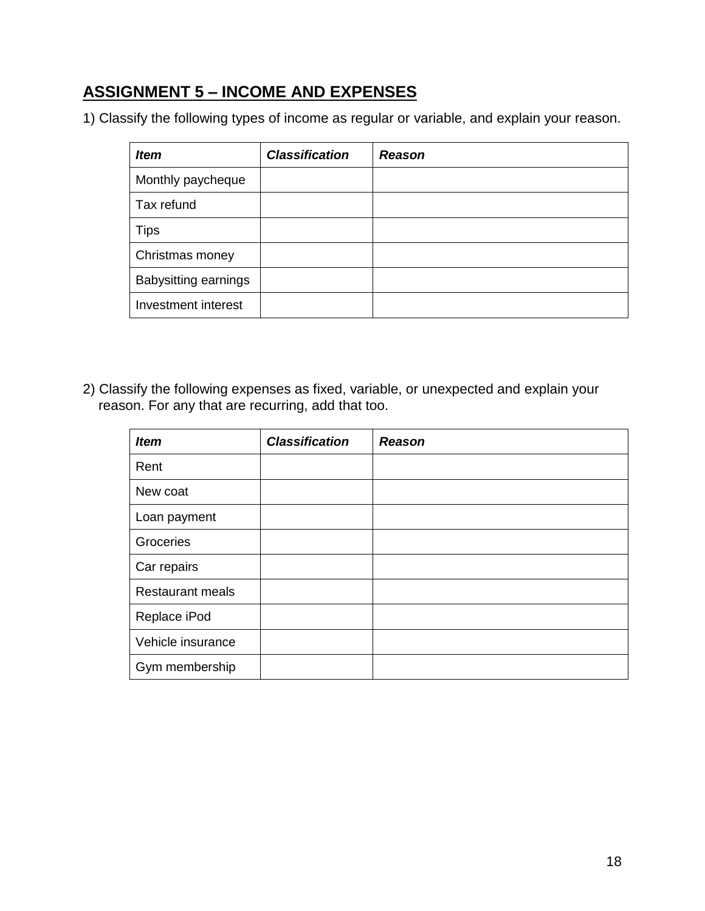## **ASSIGNMENT 5 – INCOME AND EXPENSES**

1) Classify the following types of income as regular or variable, and explain your reason.

| <b>Item</b>                 | <b>Classification</b> | <b>Reason</b> |
|-----------------------------|-----------------------|---------------|
| Monthly paycheque           |                       |               |
| Tax refund                  |                       |               |
| <b>Tips</b>                 |                       |               |
| Christmas money             |                       |               |
| <b>Babysitting earnings</b> |                       |               |
| Investment interest         |                       |               |

2) Classify the following expenses as fixed, variable, or unexpected and explain your reason. For any that are recurring, add that too.

| <b>Item</b>             | <b>Classification</b> | <b>Reason</b> |
|-------------------------|-----------------------|---------------|
| Rent                    |                       |               |
| New coat                |                       |               |
| Loan payment            |                       |               |
| Groceries               |                       |               |
| Car repairs             |                       |               |
| <b>Restaurant meals</b> |                       |               |
| Replace iPod            |                       |               |
| Vehicle insurance       |                       |               |
| Gym membership          |                       |               |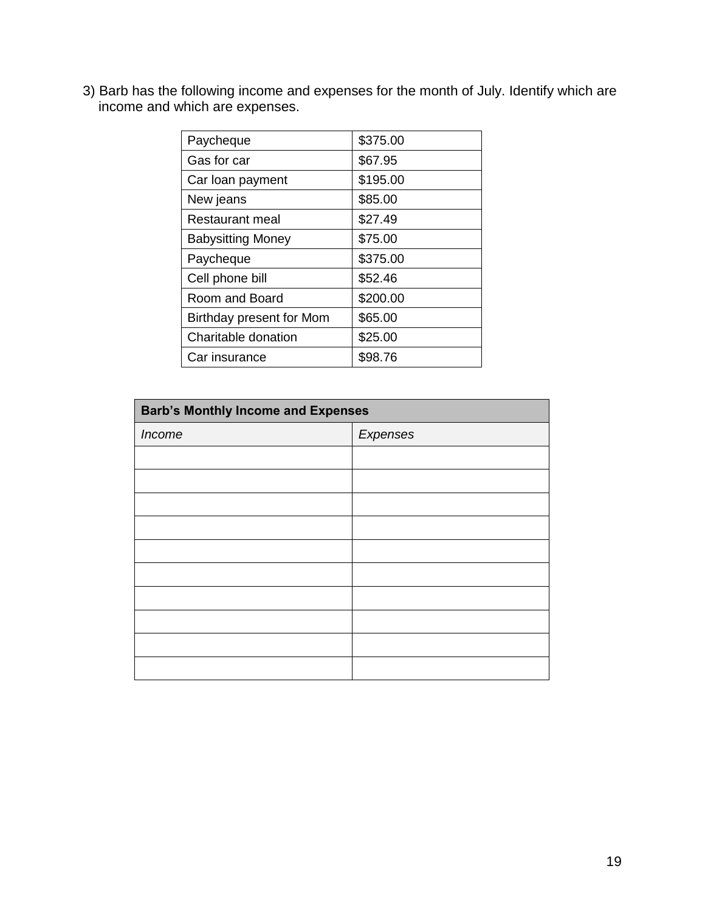3) Barb has the following income and expenses for the month of July. Identify which are income and which are expenses.

| Paycheque                | \$375.00 |
|--------------------------|----------|
| Gas for car              | \$67.95  |
| Car loan payment         | \$195.00 |
| New jeans                | \$85.00  |
| Restaurant meal          | \$27.49  |
| <b>Babysitting Money</b> | \$75.00  |
| Paycheque                | \$375.00 |
| Cell phone bill          | \$52.46  |
| Room and Board           | \$200.00 |
| Birthday present for Mom | \$65.00  |
| Charitable donation      | \$25.00  |
| Car insurance            | \$98.76  |

| <b>Barb's Monthly Income and Expenses</b> |          |  |
|-------------------------------------------|----------|--|
| Income                                    | Expenses |  |
|                                           |          |  |
|                                           |          |  |
|                                           |          |  |
|                                           |          |  |
|                                           |          |  |
|                                           |          |  |
|                                           |          |  |
|                                           |          |  |
|                                           |          |  |
|                                           |          |  |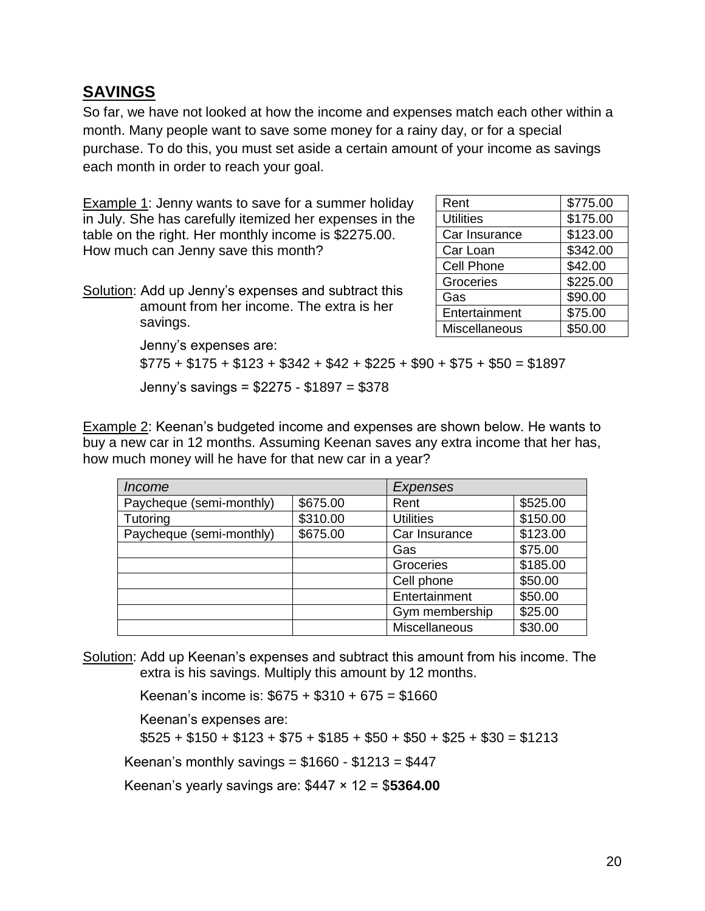#### **SAVINGS**

So far, we have not looked at how the income and expenses match each other within a month. Many people want to save some money for a rainy day, or for a special purchase. To do this, you must set aside a certain amount of your income as savings each month in order to reach your goal.

Example 1: Jenny wants to save for a summer holiday in July. She has carefully itemized her expenses in the table on the right. Her monthly income is \$2275.00. How much can Jenny save this month?

Solution: Add up Jenny's expenses and subtract this amount from her income. The extra is her savings.

| Rent              | \$775.00 |
|-------------------|----------|
| <b>Utilities</b>  | \$175.00 |
| Car Insurance     | \$123.00 |
| Car Loan          | \$342.00 |
| <b>Cell Phone</b> | \$42.00  |
| Groceries         | \$225.00 |
| Gas               | \$90.00  |
| Entertainment     | \$75.00  |
| Miscellaneous     | \$50.00  |

Jenny's expenses are:  $$775 + $175 + $123 + $342 + $42 + $225 + $90 + $75 + $50 = $1897$ Jenny's savings = \$2275 - \$1897 = \$378

Example 2: Keenan's budgeted income and expenses are shown below. He wants to buy a new car in 12 months. Assuming Keenan saves any extra income that her has, how much money will he have for that new car in a year?

| <i>Income</i>            |          | Expenses         |          |  |
|--------------------------|----------|------------------|----------|--|
| Paycheque (semi-monthly) | \$675.00 | Rent             | \$525.00 |  |
| Tutoring                 | \$310.00 | <b>Utilities</b> | \$150.00 |  |
| Paycheque (semi-monthly) | \$675.00 | Car Insurance    | \$123.00 |  |
|                          |          | Gas              | \$75.00  |  |
|                          |          | Groceries        | \$185.00 |  |
|                          |          | Cell phone       | \$50.00  |  |
|                          |          | Entertainment    | \$50.00  |  |
|                          |          | Gym membership   | \$25.00  |  |
|                          |          | Miscellaneous    | \$30.00  |  |

Solution: Add up Keenan's expenses and subtract this amount from his income. The extra is his savings. Multiply this amount by 12 months.

Keenan's income is: \$675 + \$310 + 675 = \$1660

Keenan's expenses are:

 $$525 + $150 + $123 + $75 + $185 + $50 + $25 + $30 = $1213$ 

Keenan's monthly savings =  $$1660 - $1213 = $447$ 

Keenan's yearly savings are: \$447 × 12 = \$**5364.00**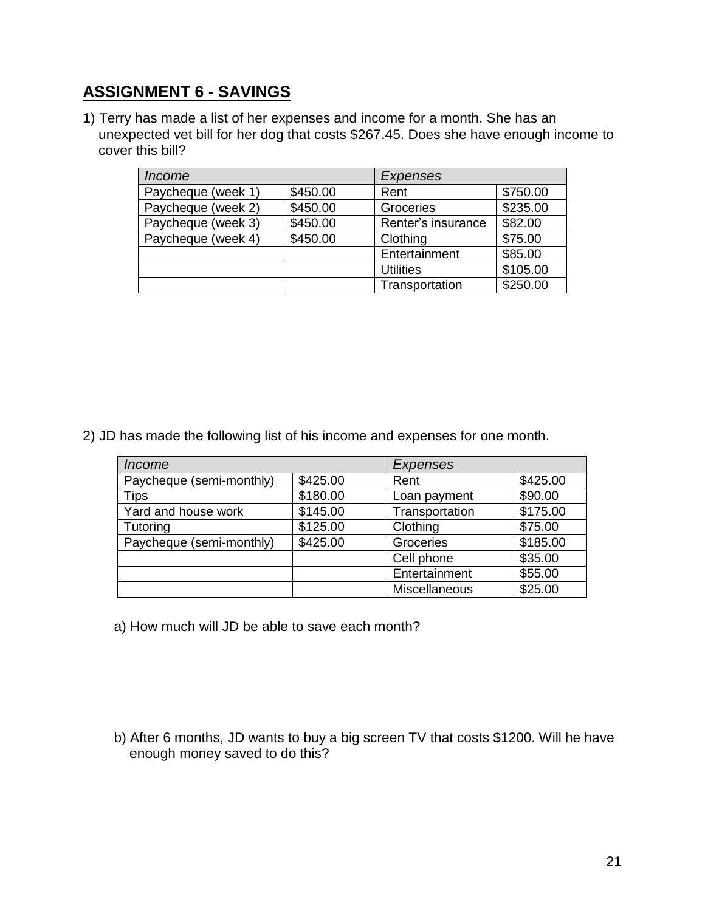## **ASSIGNMENT 6 - SAVINGS**

1) Terry has made a list of her expenses and income for a month. She has an unexpected vet bill for her dog that costs \$267.45. Does she have enough income to cover this bill?

| <i>Income</i>      |          | Expenses           |          |
|--------------------|----------|--------------------|----------|
| Paycheque (week 1) | \$450.00 | Rent               | \$750.00 |
| Paycheque (week 2) | \$450.00 | Groceries          | \$235.00 |
| Paycheque (week 3) | \$450.00 | Renter's insurance | \$82.00  |
| Paycheque (week 4) | \$450.00 | Clothing           | \$75.00  |
|                    |          | Entertainment      | \$85.00  |
|                    |          | <b>Utilities</b>   | \$105.00 |
|                    |          | Transportation     | \$250.00 |

2) JD has made the following list of his income and expenses for one month.

| <i>Income</i>            |          | <b>Expenses</b> |          |
|--------------------------|----------|-----------------|----------|
| Paycheque (semi-monthly) | \$425.00 | Rent            | \$425.00 |
| <b>Tips</b>              | \$180.00 | Loan payment    | \$90.00  |
| Yard and house work      | \$145.00 | Transportation  | \$175.00 |
| Tutoring                 | \$125.00 | Clothing        | \$75.00  |
| Paycheque (semi-monthly) | \$425.00 | Groceries       | \$185.00 |
|                          |          | Cell phone      | \$35.00  |
|                          |          | Entertainment   | \$55.00  |
|                          |          | Miscellaneous   | \$25.00  |

a) How much will JD be able to save each month?

b) After 6 months, JD wants to buy a big screen TV that costs \$1200. Will he have enough money saved to do this?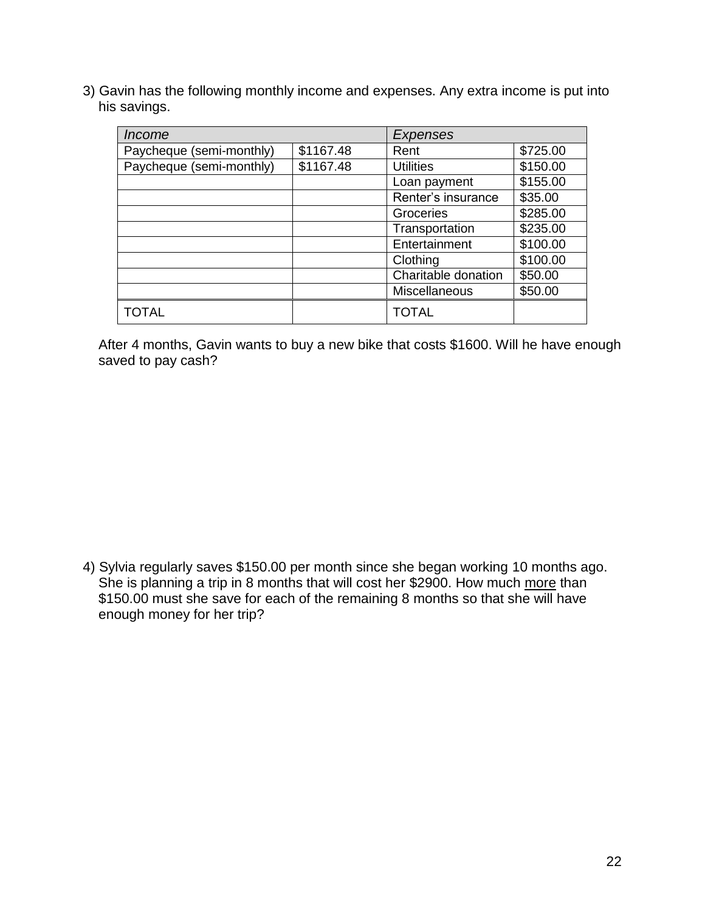3) Gavin has the following monthly income and expenses. Any extra income is put into his savings.

| Income                   |           | Expenses             |          |
|--------------------------|-----------|----------------------|----------|
| Paycheque (semi-monthly) | \$1167.48 | Rent                 | \$725.00 |
| Paycheque (semi-monthly) | \$1167.48 | <b>Utilities</b>     | \$150.00 |
|                          |           | Loan payment         | \$155.00 |
|                          |           | Renter's insurance   | \$35.00  |
|                          |           | Groceries            | \$285.00 |
|                          |           | Transportation       | \$235.00 |
|                          |           | Entertainment        | \$100.00 |
|                          |           | Clothing             | \$100.00 |
|                          |           | Charitable donation  | \$50.00  |
|                          |           | <b>Miscellaneous</b> | \$50.00  |
| <b>TOTAL</b>             |           | <b>TOTAL</b>         |          |

After 4 months, Gavin wants to buy a new bike that costs \$1600. Will he have enough saved to pay cash?

4) Sylvia regularly saves \$150.00 per month since she began working 10 months ago. She is planning a trip in 8 months that will cost her \$2900. How much more than \$150.00 must she save for each of the remaining 8 months so that she will have enough money for her trip?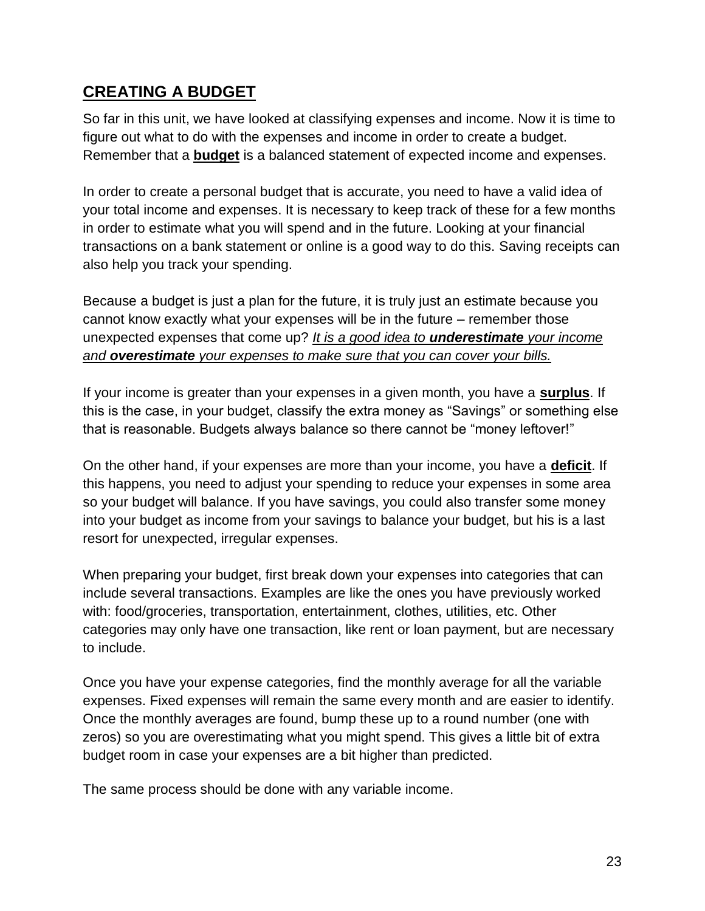## **CREATING A BUDGET**

So far in this unit, we have looked at classifying expenses and income. Now it is time to figure out what to do with the expenses and income in order to create a budget. Remember that a **budget** is a balanced statement of expected income and expenses.

In order to create a personal budget that is accurate, you need to have a valid idea of your total income and expenses. It is necessary to keep track of these for a few months in order to estimate what you will spend and in the future. Looking at your financial transactions on a bank statement or online is a good way to do this. Saving receipts can also help you track your spending.

Because a budget is just a plan for the future, it is truly just an estimate because you cannot know exactly what your expenses will be in the future – remember those unexpected expenses that come up? *It is a good idea to underestimate your income and overestimate your expenses to make sure that you can cover your bills.*

If your income is greater than your expenses in a given month, you have a **surplus**. If this is the case, in your budget, classify the extra money as "Savings" or something else that is reasonable. Budgets always balance so there cannot be "money leftover!"

On the other hand, if your expenses are more than your income, you have a **deficit**. If this happens, you need to adjust your spending to reduce your expenses in some area so your budget will balance. If you have savings, you could also transfer some money into your budget as income from your savings to balance your budget, but his is a last resort for unexpected, irregular expenses.

When preparing your budget, first break down your expenses into categories that can include several transactions. Examples are like the ones you have previously worked with: food/groceries, transportation, entertainment, clothes, utilities, etc. Other categories may only have one transaction, like rent or loan payment, but are necessary to include.

Once you have your expense categories, find the monthly average for all the variable expenses. Fixed expenses will remain the same every month and are easier to identify. Once the monthly averages are found, bump these up to a round number (one with zeros) so you are overestimating what you might spend. This gives a little bit of extra budget room in case your expenses are a bit higher than predicted.

The same process should be done with any variable income.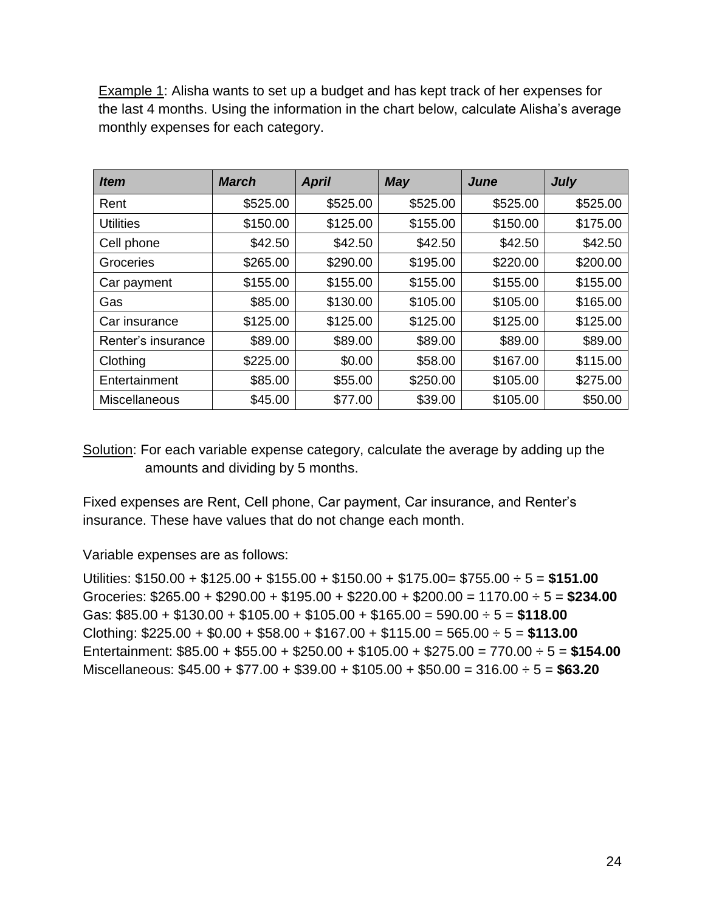Example 1: Alisha wants to set up a budget and has kept track of her expenses for the last 4 months. Using the information in the chart below, calculate Alisha's average monthly expenses for each category.

| <i>Item</i>          | <b>March</b> | <b>April</b> | <b>May</b> | <b>June</b> | <b>July</b> |
|----------------------|--------------|--------------|------------|-------------|-------------|
| Rent                 | \$525.00     | \$525.00     | \$525.00   | \$525.00    | \$525.00    |
| <b>Utilities</b>     | \$150.00     | \$125.00     | \$155.00   | \$150.00    | \$175.00    |
| Cell phone           | \$42.50      | \$42.50      | \$42.50    | \$42.50     | \$42.50     |
| Groceries            | \$265.00     | \$290.00     | \$195.00   | \$220.00    | \$200.00    |
| Car payment          | \$155.00     | \$155.00     | \$155.00   | \$155.00    | \$155.00    |
| Gas                  | \$85.00      | \$130.00     | \$105.00   | \$105.00    | \$165.00    |
| Car insurance        | \$125.00     | \$125.00     | \$125.00   | \$125.00    | \$125.00    |
| Renter's insurance   | \$89.00      | \$89.00      | \$89.00    | \$89.00     | \$89.00     |
| Clothing             | \$225.00     | \$0.00       | \$58.00    | \$167.00    | \$115.00    |
| Entertainment        | \$85.00      | \$55.00      | \$250.00   | \$105.00    | \$275.00    |
| <b>Miscellaneous</b> | \$45.00      | \$77.00      | \$39.00    | \$105.00    | \$50.00     |

Solution: For each variable expense category, calculate the average by adding up the amounts and dividing by 5 months.

Fixed expenses are Rent, Cell phone, Car payment, Car insurance, and Renter's insurance. These have values that do not change each month.

Variable expenses are as follows:

Utilities: \$150.00 + \$125.00 + \$155.00 + \$150.00 + \$175.00= \$755.00 ÷ 5 = **\$151.00** Groceries: \$265.00 + \$290.00 + \$195.00 + \$220.00 + \$200.00 = 1170.00 ÷ 5 = **\$234.00** Gas: \$85.00 + \$130.00 + \$105.00 + \$105.00 + \$165.00 = 590.00 ÷ 5 = **\$118.00** Clothing: \$225.00 + \$0.00 + \$58.00 + \$167.00 + \$115.00 = 565.00 ÷ 5 = **\$113.00** Entertainment: \$85.00 + \$55.00 + \$250.00 + \$105.00 + \$275.00 = 770.00 ÷ 5 = **\$154.00** Miscellaneous: \$45.00 + \$77.00 + \$39.00 + \$105.00 + \$50.00 = 316.00 ÷ 5 = **\$63.20**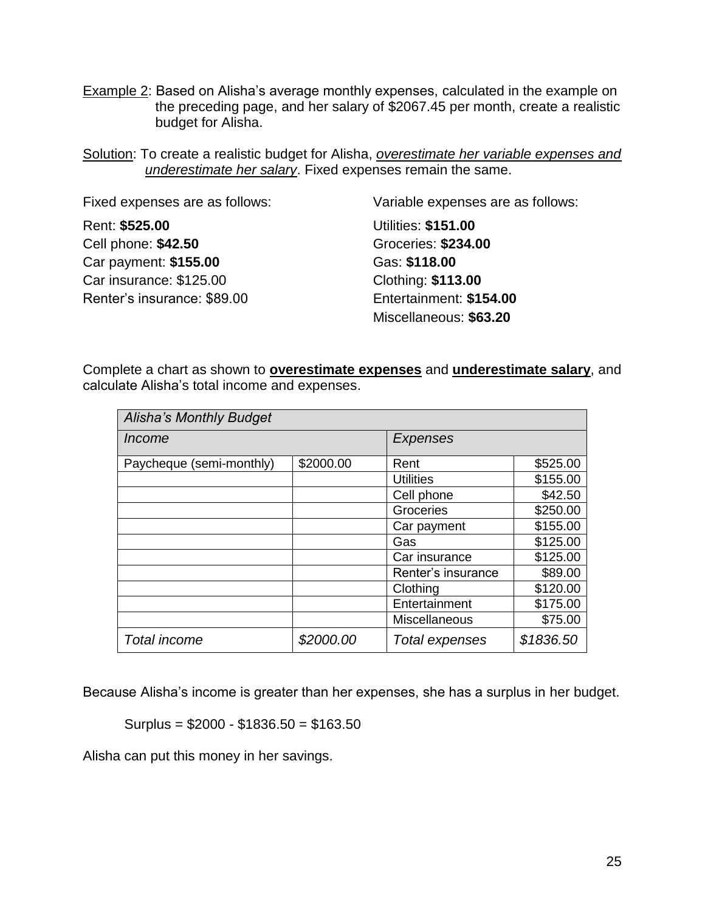- Example 2: Based on Alisha's average monthly expenses, calculated in the example on the preceding page, and her salary of \$2067.45 per month, create a realistic budget for Alisha.
- Solution: To create a realistic budget for Alisha, *overestimate her variable expenses and underestimate her salary*. Fixed expenses remain the same.

| Fixed expenses are as follows: | Variable expenses are as follows: |
|--------------------------------|-----------------------------------|
| Rent: \$525.00                 | <b>Utilities: \$151.00</b>        |
| Cell phone: \$42.50            | <b>Groceries: \$234.00</b>        |
| Car payment: \$155.00          | Gas: \$118.00                     |
| Car insurance: \$125.00        | Clothing: \$113.00                |
| Renter's insurance: \$89.00    | Entertainment: \$154.00           |
|                                | Miscellaneous: \$63.20            |

Complete a chart as shown to **overestimate expenses** and **underestimate salary**, and calculate Alisha's total income and expenses.

| <b>Alisha's Monthly Budget</b> |           |                    |           |
|--------------------------------|-----------|--------------------|-----------|
| Income                         |           | Expenses           |           |
| Paycheque (semi-monthly)       | \$2000.00 | Rent               | \$525.00  |
|                                |           | <b>Utilities</b>   | \$155.00  |
|                                |           | Cell phone         | \$42.50   |
|                                |           | Groceries          | \$250.00  |
|                                |           | Car payment        | \$155.00  |
|                                |           | Gas                | \$125.00  |
|                                |           | Car insurance      | \$125.00  |
|                                |           | Renter's insurance | \$89.00   |
|                                |           | Clothing           | \$120.00  |
|                                |           | Entertainment      | \$175.00  |
|                                |           | Miscellaneous      | \$75.00   |
| <b>Total income</b>            | \$2000.00 | Total expenses     | \$1836.50 |

Because Alisha's income is greater than her expenses, she has a surplus in her budget.

Surplus = \$2000 - \$1836.50 = \$163.50

Alisha can put this money in her savings.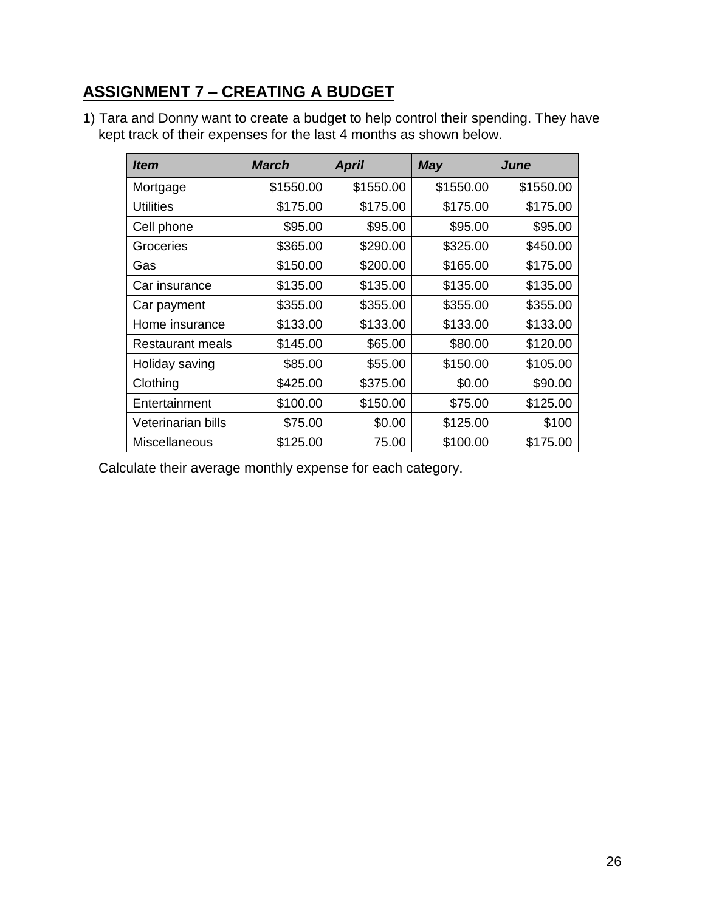## **ASSIGNMENT 7 – CREATING A BUDGET**

1) Tara and Donny want to create a budget to help control their spending. They have kept track of their expenses for the last 4 months as shown below.

| ltem                 | <b>March</b> | <b>April</b> | <b>May</b> | June      |
|----------------------|--------------|--------------|------------|-----------|
| Mortgage             | \$1550.00    | \$1550.00    | \$1550.00  | \$1550.00 |
| <b>Utilities</b>     | \$175.00     | \$175.00     | \$175.00   | \$175.00  |
| Cell phone           | \$95.00      | \$95.00      | \$95.00    | \$95.00   |
| Groceries            | \$365.00     | \$290.00     | \$325.00   | \$450.00  |
| Gas                  | \$150.00     | \$200.00     | \$165.00   | \$175.00  |
| Car insurance        | \$135.00     | \$135.00     | \$135.00   | \$135.00  |
| Car payment          | \$355.00     | \$355.00     | \$355.00   | \$355.00  |
| Home insurance       | \$133.00     | \$133.00     | \$133.00   | \$133.00  |
| Restaurant meals     | \$145.00     | \$65.00      | \$80.00    | \$120.00  |
| Holiday saving       | \$85.00      | \$55.00      | \$150.00   | \$105.00  |
| Clothing             | \$425.00     | \$375.00     | \$0.00     | \$90.00   |
| Entertainment        | \$100.00     | \$150.00     | \$75.00    | \$125.00  |
| Veterinarian bills   | \$75.00      | \$0.00       | \$125.00   | \$100     |
| <b>Miscellaneous</b> | \$125.00     | 75.00        | \$100.00   | \$175.00  |

Calculate their average monthly expense for each category.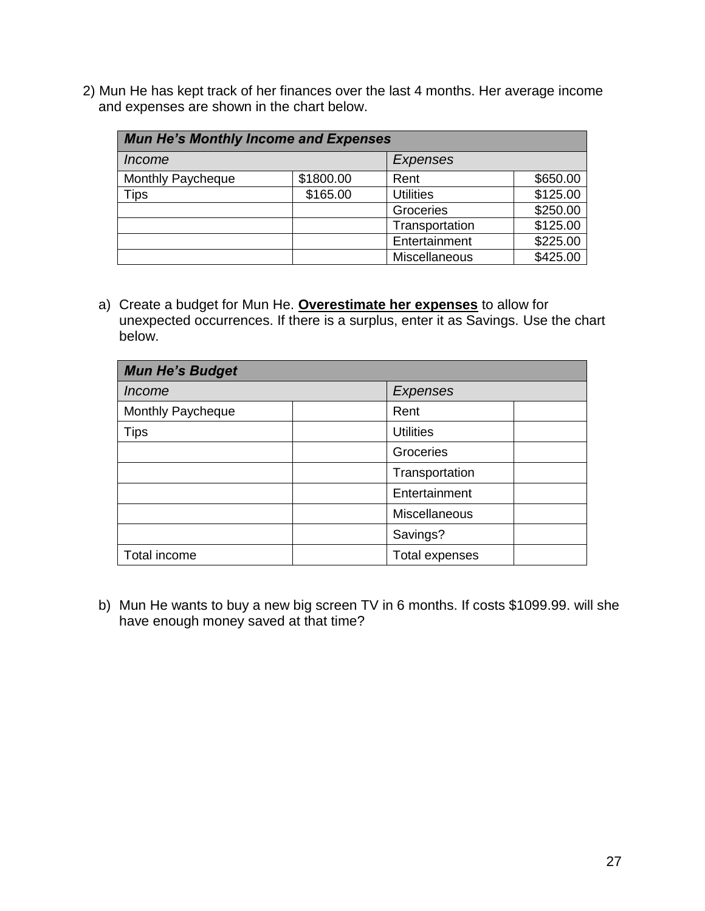2) Mun He has kept track of her finances over the last 4 months. Her average income and expenses are shown in the chart below.

| <b>Mun He's Monthly Income and Expenses</b> |           |                  |          |
|---------------------------------------------|-----------|------------------|----------|
| <i>Income</i>                               |           | Expenses         |          |
| Monthly Paycheque                           | \$1800.00 | Rent             | \$650.00 |
| <b>Tips</b>                                 | \$165.00  | <b>Utilities</b> | \$125.00 |
|                                             |           | Groceries        | \$250.00 |
|                                             |           | Transportation   | \$125.00 |
|                                             |           | Entertainment    | \$225.00 |
|                                             |           | Miscellaneous    | \$425.00 |

a) Create a budget for Mun He. **Overestimate her expenses** to allow for unexpected occurrences. If there is a surplus, enter it as Savings. Use the chart below.

| <b>Mun He's Budget</b> |  |                       |  |
|------------------------|--|-----------------------|--|
| <i>Income</i>          |  | <b>Expenses</b>       |  |
| Monthly Paycheque      |  | Rent                  |  |
| <b>Tips</b>            |  | <b>Utilities</b>      |  |
|                        |  | Groceries             |  |
|                        |  | Transportation        |  |
|                        |  | Entertainment         |  |
|                        |  | Miscellaneous         |  |
|                        |  | Savings?              |  |
| Total income           |  | <b>Total expenses</b> |  |

b) Mun He wants to buy a new big screen TV in 6 months. If costs \$1099.99. will she have enough money saved at that time?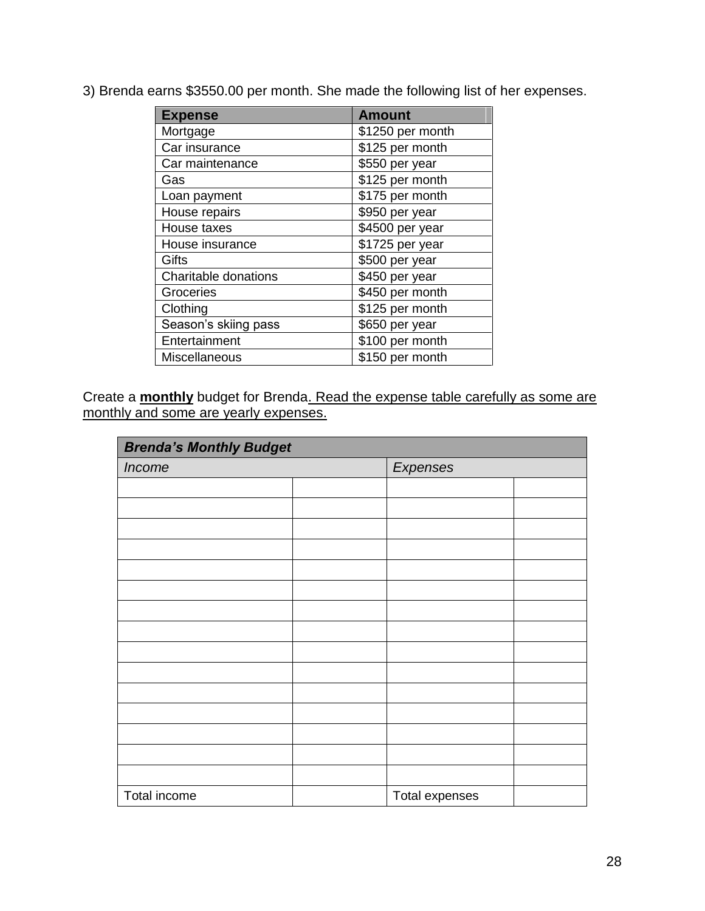| <b>Expense</b>       | <b>Amount</b>    |
|----------------------|------------------|
| Mortgage             | \$1250 per month |
| Car insurance        | \$125 per month  |
| Car maintenance      | \$550 per year   |
| Gas                  | \$125 per month  |
| Loan payment         | \$175 per month  |
| House repairs        | \$950 per year   |
| House taxes          | \$4500 per year  |
| House insurance      | \$1725 per year  |
| Gifts                | \$500 per year   |
| Charitable donations | \$450 per year   |
| Groceries            | \$450 per month  |
| Clothing             | \$125 per month  |
| Season's skiing pass | \$650 per year   |
| Entertainment        | \$100 per month  |
| Miscellaneous        | \$150 per month  |

3) Brenda earns \$3550.00 per month. She made the following list of her expenses.

Create a **monthly** budget for Brenda. Read the expense table carefully as some are monthly and some are yearly expenses.

| <b>Brenda's Monthly Budget</b> |  |                |  |
|--------------------------------|--|----------------|--|
| Income                         |  | Expenses       |  |
|                                |  |                |  |
|                                |  |                |  |
|                                |  |                |  |
|                                |  |                |  |
|                                |  |                |  |
|                                |  |                |  |
|                                |  |                |  |
|                                |  |                |  |
|                                |  |                |  |
|                                |  |                |  |
|                                |  |                |  |
|                                |  |                |  |
|                                |  |                |  |
|                                |  |                |  |
|                                |  |                |  |
| Total income                   |  | Total expenses |  |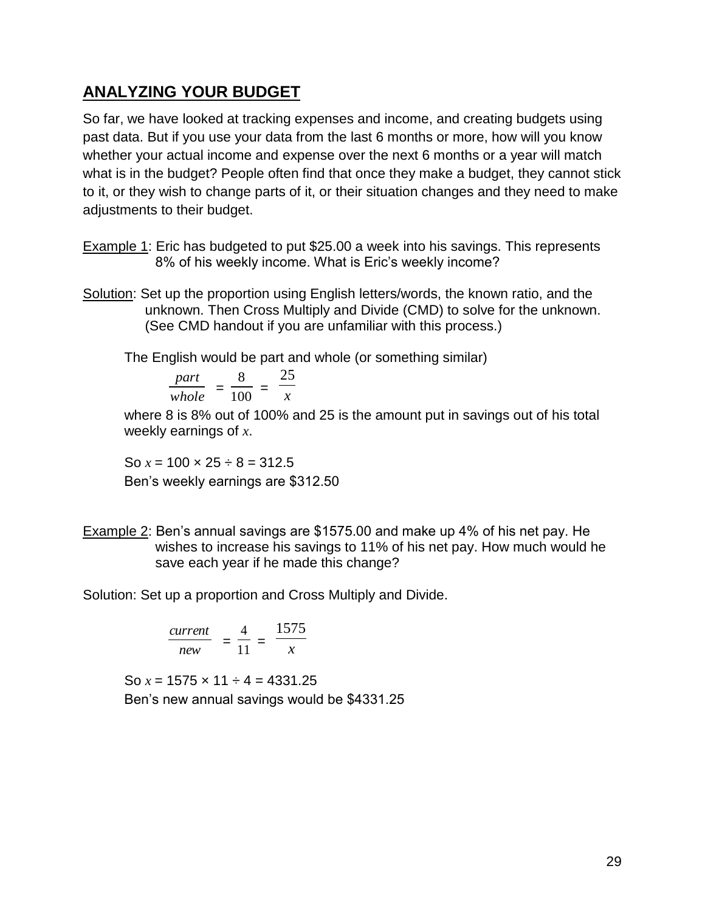### **ANALYZING YOUR BUDGET**

So far, we have looked at tracking expenses and income, and creating budgets using past data. But if you use your data from the last 6 months or more, how will you know whether your actual income and expense over the next 6 months or a year will match what is in the budget? People often find that once they make a budget, they cannot stick to it, or they wish to change parts of it, or their situation changes and they need to make adjustments to their budget.

- Example 1: Eric has budgeted to put \$25.00 a week into his savings. This represents 8% of his weekly income. What is Eric's weekly income?
- Solution: Set up the proportion using English letters/words, the known ratio, and the unknown. Then Cross Multiply and Divide (CMD) to solve for the unknown. (See CMD handout if you are unfamiliar with this process.)

The English would be part and whole (or something similar)

$$
\frac{part}{whole} = \frac{8}{100} = \frac{25}{x}
$$

where 8 is 8% out of 100% and 25 is the amount put in savings out of his total weekly earnings of *x*.

So  $x = 100 \times 25 \div 8 = 312.5$ Ben's weekly earnings are \$312.50

Example 2: Ben's annual savings are \$1575.00 and make up 4% of his net pay. He wishes to increase his savings to 11% of his net pay. How much would he save each year if he made this change?

Solution: Set up a proportion and Cross Multiply and Divide.

$$
\frac{current}{new} = \frac{4}{11} = \frac{1575}{x}
$$

So  $x = 1575 \times 11 \div 4 = 4331.25$ Ben's new annual savings would be \$4331.25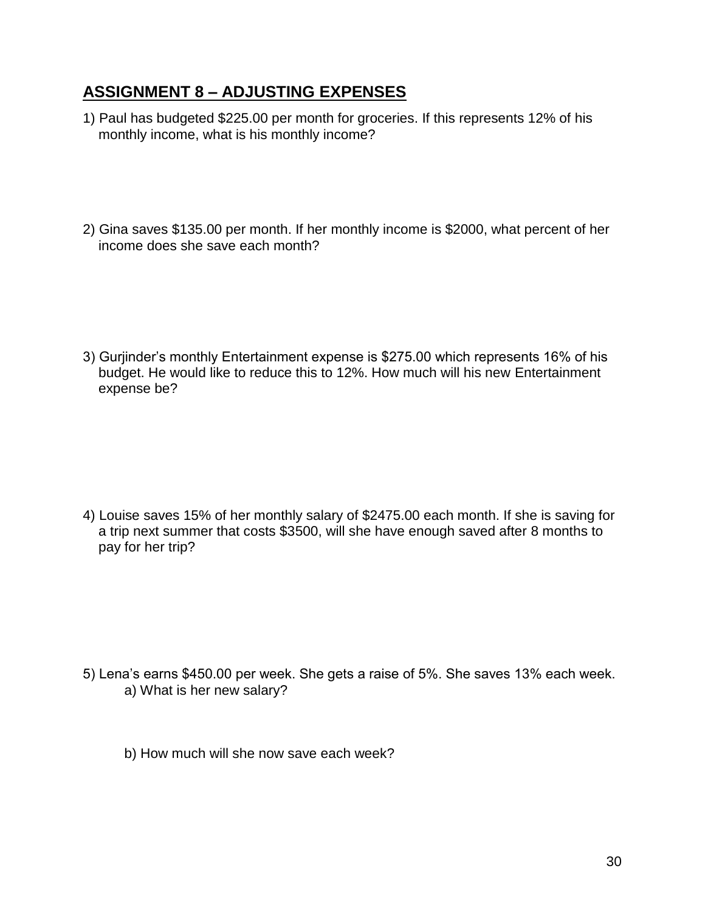## **ASSIGNMENT 8 – ADJUSTING EXPENSES**

- 1) Paul has budgeted \$225.00 per month for groceries. If this represents 12% of his monthly income, what is his monthly income?
- 2) Gina saves \$135.00 per month. If her monthly income is \$2000, what percent of her income does she save each month?

3) Gurjinder's monthly Entertainment expense is \$275.00 which represents 16% of his budget. He would like to reduce this to 12%. How much will his new Entertainment expense be?

4) Louise saves 15% of her monthly salary of \$2475.00 each month. If she is saving for a trip next summer that costs \$3500, will she have enough saved after 8 months to pay for her trip?

- 5) Lena's earns \$450.00 per week. She gets a raise of 5%. She saves 13% each week. a) What is her new salary?
	- b) How much will she now save each week?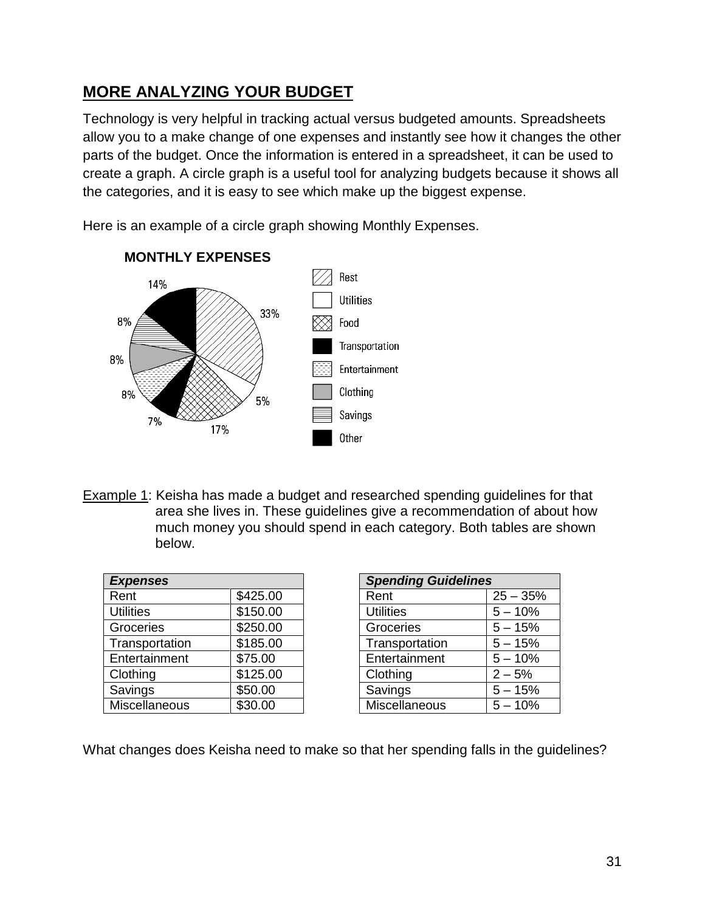## **MORE ANALYZING YOUR BUDGET**

Technology is very helpful in tracking actual versus budgeted amounts. Spreadsheets allow you to a make change of one expenses and instantly see how it changes the other parts of the budget. Once the information is entered in a spreadsheet, it can be used to create a graph. A circle graph is a useful tool for analyzing budgets because it shows all the categories, and it is easy to see which make up the biggest expense.

Here is an example of a circle graph showing Monthly Expenses.



**MONTHLY EXPENSES**

Example 1: Keisha has made a budget and researched spending guidelines for that area she lives in. These guidelines give a recommendation of about how much money you should spend in each category. Both tables are shown below.

| <b>Expenses</b>  |          |
|------------------|----------|
| Rent             | \$425.00 |
| <b>Utilities</b> | \$150.00 |
| Groceries        | \$250.00 |
| Transportation   | \$185.00 |
| Entertainment    | \$75.00  |
| Clothing         | \$125.00 |
| Savings          | \$50.00  |
| Miscellaneous    | \$30.00  |

| <b>Spending Guidelines</b> |            |  |
|----------------------------|------------|--|
| Rent                       | $25 - 35%$ |  |
| <b>Utilities</b>           | $5 - 10%$  |  |
| Groceries                  | $5 - 15%$  |  |
| Transportation             | $5 - 15%$  |  |
| Entertainment              | $5 - 10%$  |  |
| Clothing                   | $2 - 5%$   |  |
| Savings                    | $5 - 15%$  |  |
| <b>Miscellaneous</b>       | $5 - 10%$  |  |

What changes does Keisha need to make so that her spending falls in the guidelines?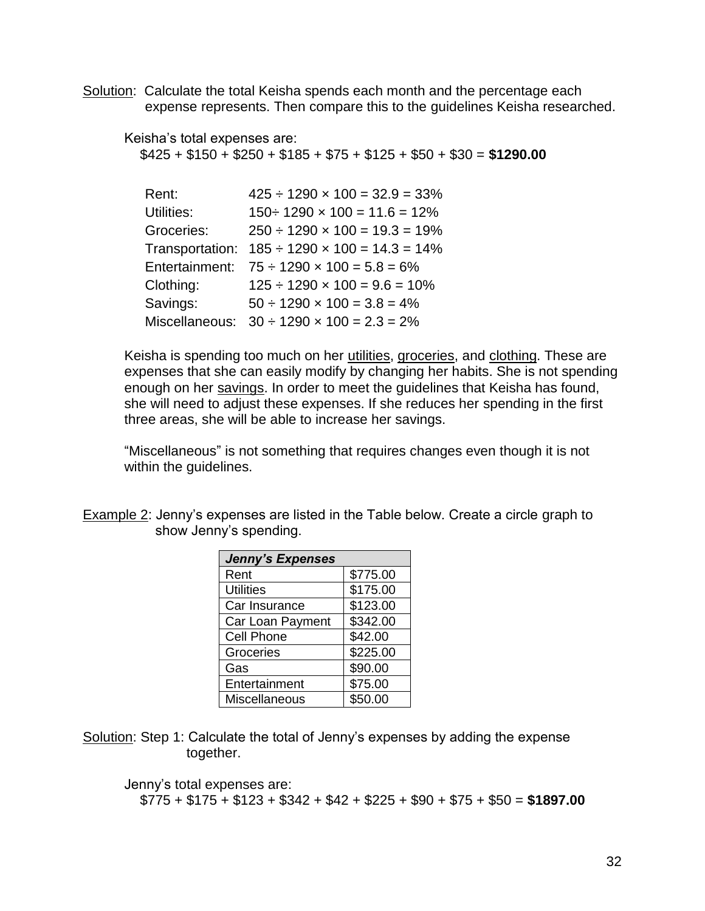Solution: Calculate the total Keisha spends each month and the percentage each expense represents. Then compare this to the guidelines Keisha researched.

#### Keisha's total expenses are:

\$425 + \$150 + \$250 + \$185 + \$75 + \$125 + \$50 + \$30 = **\$1290.00**

| Rent:           | $425 \div 1290 \times 100 = 32.9 = 33\%$             |
|-----------------|------------------------------------------------------|
| Utilities:      | $150 \div 1290 \times 100 = 11.6 = 12\%$             |
| Groceries:      | $250 \div 1290 \times 100 = 19.3 = 19\%$             |
| Transportation: | $185 \div 1290 \times 100 = 14.3 = 14\%$             |
| Entertainment:  | $75 \div 1290 \times 100 = 5.8 = 6\%$                |
| Clothing:       | $125 \div 1290 \times 100 = 9.6 = 10\%$              |
| Savings:        | $50 \div 1290 \times 100 = 3.8 = 4\%$                |
|                 | Miscellaneous: $30 \div 1290 \times 100 = 2.3 = 2\%$ |

Keisha is spending too much on her utilities, groceries, and clothing. These are expenses that she can easily modify by changing her habits. She is not spending enough on her savings. In order to meet the guidelines that Keisha has found, she will need to adjust these expenses. If she reduces her spending in the first three areas, she will be able to increase her savings.

"Miscellaneous" is not something that requires changes even though it is not within the guidelines.

Example 2: Jenny's expenses are listed in the Table below. Create a circle graph to show Jenny's spending.

| <b>Jenny's Expenses</b> |          |  |
|-------------------------|----------|--|
| Rent                    | \$775.00 |  |
| <b>Utilities</b>        | \$175.00 |  |
| Car Insurance           | \$123.00 |  |
| Car Loan Payment        | \$342.00 |  |
| <b>Cell Phone</b>       | \$42.00  |  |
| Groceries               | \$225.00 |  |
| Gas                     | \$90.00  |  |
| Entertainment           | \$75.00  |  |
| Miscellaneous           | \$50.00  |  |

Solution: Step 1: Calculate the total of Jenny's expenses by adding the expense together.

Jenny's total expenses are: \$775 + \$175 + \$123 + \$342 + \$42 + \$225 + \$90 + \$75 + \$50 = **\$1897.00**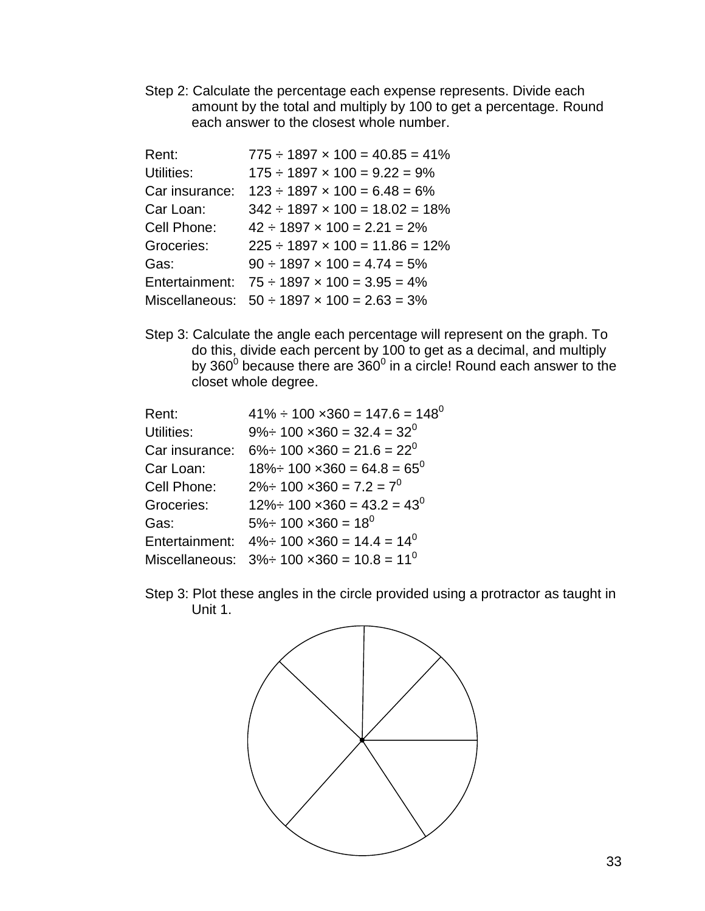Step 2: Calculate the percentage each expense represents. Divide each amount by the total and multiply by 100 to get a percentage. Round each answer to the closest whole number.

| Rent:          | $775 \div 1897 \times 100 = 40.85 = 41\%$             |
|----------------|-------------------------------------------------------|
| Utilities:     | $175 \div 1897 \times 100 = 9.22 = 9\%$               |
| Car insurance: | $123 \div 1897 \times 100 = 6.48 = 6\%$               |
| Car Loan:      | $342 \div 1897 \times 100 = 18.02 = 18\%$             |
| Cell Phone:    | $42 \div 1897 \times 100 = 2.21 = 2\%$                |
| Groceries:     | $225 \div 1897 \times 100 = 11.86 = 12\%$             |
| Gas:           | $90 \div 1897 \times 100 = 4.74 = 5\%$                |
| Entertainment: | $75 \div 1897 \times 100 = 3.95 = 4\%$                |
|                | Miscellaneous: $50 \div 1897 \times 100 = 2.63 = 3\%$ |

Step 3: Calculate the angle each percentage will represent on the graph. To do this, divide each percent by 100 to get as a decimal, and multiply by 360 $^0$  because there are 360 $^0$  in a circle! Round each answer to the closet whole degree.

| Rent:          | $41\% \div 100 \times 360 = 147.6 = 148^{\circ}$         |
|----------------|----------------------------------------------------------|
| Utilities:     | $9\% \div 100 \times 360 = 32.4 = 32^{0}$                |
| Car insurance: | $6\% \div 100 \times 360 = 21.6 = 22^0$                  |
| Car Loan:      | $18\% \div 100 \times 360 = 64.8 = 65^{\circ}$           |
| Cell Phone:    | $2\% \div 100 \times 360 = 7.2 = 7^0$                    |
| Groceries:     | $12\% \div 100 \times 360 = 43.2 = 43^{\circ}$           |
| Gas:           | $5\% \div 100 \times 360 = 18^{0}$                       |
|                | Entertainment: $4\% \div 100 \times 360 = 14.4 = 14^{0}$ |
|                | Miscellaneous: $3\% \div 100 \times 360 = 10.8 = 11^0$   |
|                |                                                          |

Step 3: Plot these angles in the circle provided using a protractor as taught in Unit 1.

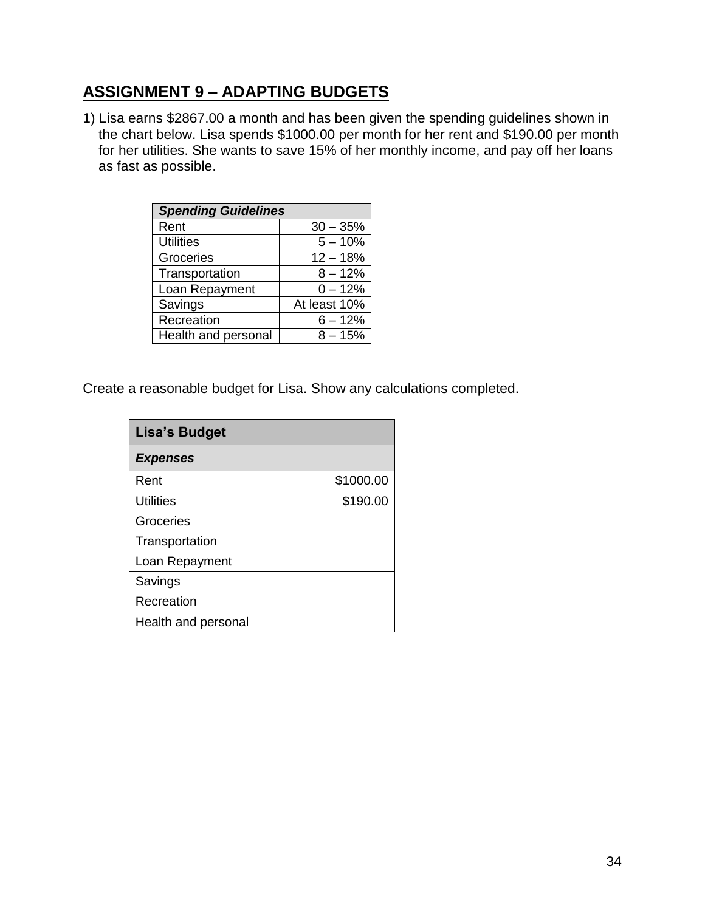# **ASSIGNMENT 9 – ADAPTING BUDGETS**

1) Lisa earns \$2867.00 a month and has been given the spending guidelines shown in the chart below. Lisa spends \$1000.00 per month for her rent and \$190.00 per month for her utilities. She wants to save 15% of her monthly income, and pay off her loans as fast as possible.

| <b>Spending Guidelines</b> |              |  |
|----------------------------|--------------|--|
| Rent                       | $30 - 35%$   |  |
| <b>Utilities</b>           | $5 - 10%$    |  |
| Groceries                  | $12 - 18%$   |  |
| Transportation             | $8 - 12%$    |  |
| Loan Repayment             | $0 - 12%$    |  |
| Savings                    | At least 10% |  |
| Recreation                 | $6 - 12%$    |  |
| Health and personal        | $8 - 15%$    |  |

Create a reasonable budget for Lisa. Show any calculations completed.

| <b>Lisa's Budget</b> |           |
|----------------------|-----------|
| <b>Expenses</b>      |           |
| Rent                 | \$1000.00 |
| <b>Utilities</b>     | \$190.00  |
| Groceries            |           |
| Transportation       |           |
| Loan Repayment       |           |
| Savings              |           |
| Recreation           |           |
| Health and personal  |           |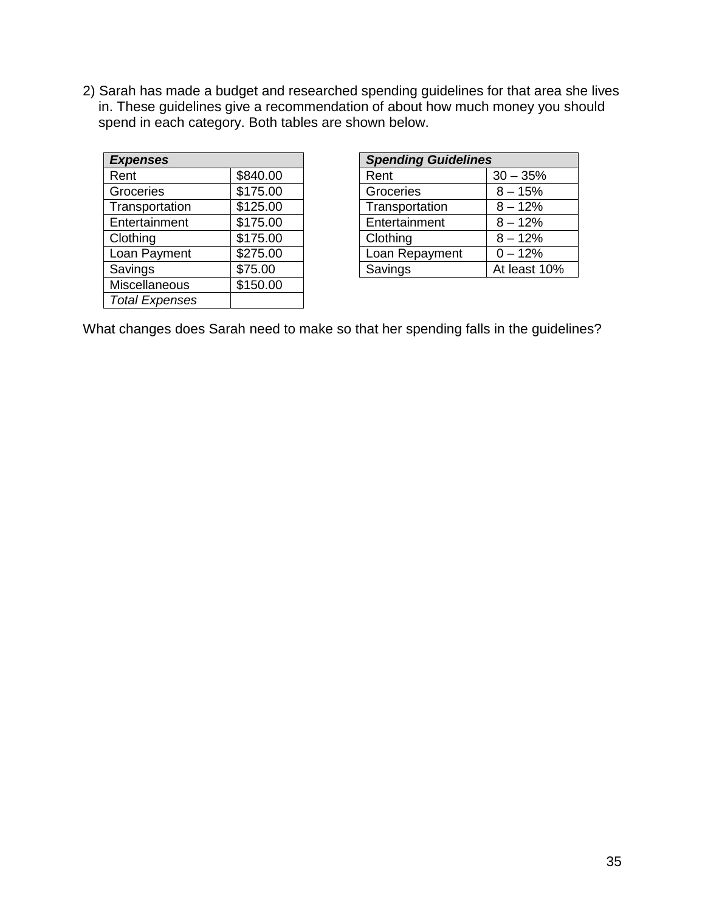2) Sarah has made a budget and researched spending guidelines for that area she lives in. These guidelines give a recommendation of about how much money you should spend in each category. Both tables are shown below.

| <b>Expenses</b>       |          |  |
|-----------------------|----------|--|
| Rent                  | \$840.00 |  |
| Groceries             | \$175.00 |  |
| Transportation        | \$125.00 |  |
| Entertainment         | \$175.00 |  |
| Clothing              | \$175.00 |  |
| Loan Payment          | \$275.00 |  |
| Savings               | \$75.00  |  |
| Miscellaneous         | \$150.00 |  |
| <b>Total Expenses</b> |          |  |

| <b>Spending Guidelines</b> |              |  |
|----------------------------|--------------|--|
| Rent                       | $30 - 35%$   |  |
| Groceries                  | $8 - 15%$    |  |
| Transportation             | $8 - 12%$    |  |
| Entertainment              | $8 - 12%$    |  |
| Clothing                   | $8 - 12%$    |  |
| Loan Repayment             | $0 - 12%$    |  |
| Savings                    | At least 10% |  |

What changes does Sarah need to make so that her spending falls in the guidelines?